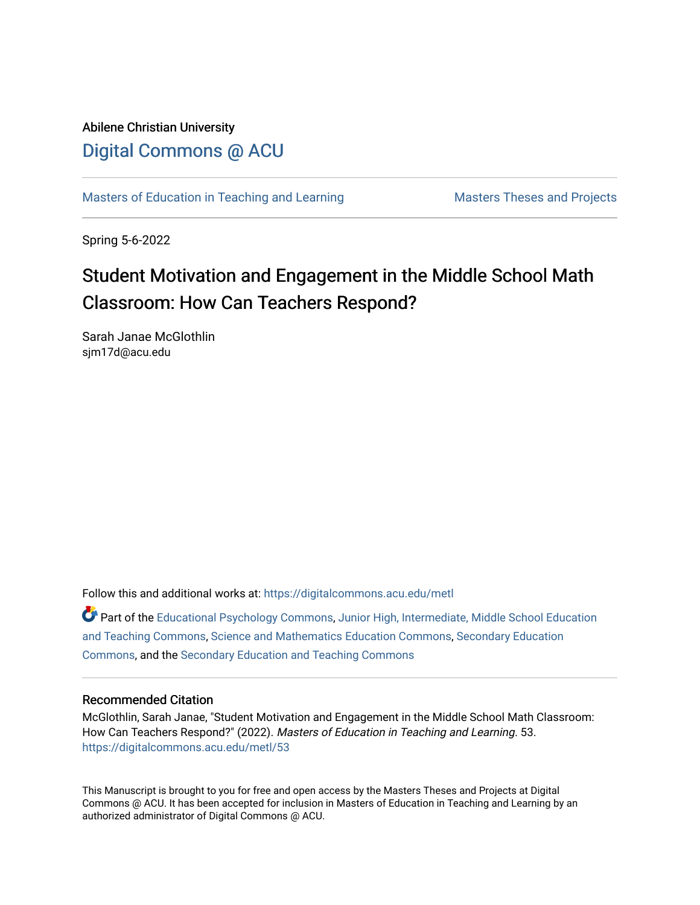Abilene Christian University [Digital Commons @ ACU](https://digitalcommons.acu.edu/)

[Masters of Education in Teaching and Learning](https://digitalcommons.acu.edu/metl) Masters Theses and Projects

Spring 5-6-2022

# Student Motivation and Engagement in the Middle School Math Classroom: How Can Teachers Respond?

Sarah Janae McGlothlin sjm17d@acu.edu

Follow this and additional works at: [https://digitalcommons.acu.edu/metl](https://digitalcommons.acu.edu/metl?utm_source=digitalcommons.acu.edu%2Fmetl%2F53&utm_medium=PDF&utm_campaign=PDFCoverPages) 

Part of the [Educational Psychology Commons,](https://network.bepress.com/hgg/discipline/798?utm_source=digitalcommons.acu.edu%2Fmetl%2F53&utm_medium=PDF&utm_campaign=PDFCoverPages) [Junior High, Intermediate, Middle School Education](https://network.bepress.com/hgg/discipline/807?utm_source=digitalcommons.acu.edu%2Fmetl%2F53&utm_medium=PDF&utm_campaign=PDFCoverPages) [and Teaching Commons](https://network.bepress.com/hgg/discipline/807?utm_source=digitalcommons.acu.edu%2Fmetl%2F53&utm_medium=PDF&utm_campaign=PDFCoverPages), [Science and Mathematics Education Commons](https://network.bepress.com/hgg/discipline/800?utm_source=digitalcommons.acu.edu%2Fmetl%2F53&utm_medium=PDF&utm_campaign=PDFCoverPages), [Secondary Education](https://network.bepress.com/hgg/discipline/1382?utm_source=digitalcommons.acu.edu%2Fmetl%2F53&utm_medium=PDF&utm_campaign=PDFCoverPages) [Commons](https://network.bepress.com/hgg/discipline/1382?utm_source=digitalcommons.acu.edu%2Fmetl%2F53&utm_medium=PDF&utm_campaign=PDFCoverPages), and the [Secondary Education and Teaching Commons](https://network.bepress.com/hgg/discipline/809?utm_source=digitalcommons.acu.edu%2Fmetl%2F53&utm_medium=PDF&utm_campaign=PDFCoverPages) 

#### Recommended Citation

McGlothlin, Sarah Janae, "Student Motivation and Engagement in the Middle School Math Classroom: How Can Teachers Respond?" (2022). Masters of Education in Teaching and Learning. 53. [https://digitalcommons.acu.edu/metl/53](https://digitalcommons.acu.edu/metl/53?utm_source=digitalcommons.acu.edu%2Fmetl%2F53&utm_medium=PDF&utm_campaign=PDFCoverPages) 

This Manuscript is brought to you for free and open access by the Masters Theses and Projects at Digital Commons @ ACU. It has been accepted for inclusion in Masters of Education in Teaching and Learning by an authorized administrator of Digital Commons @ ACU.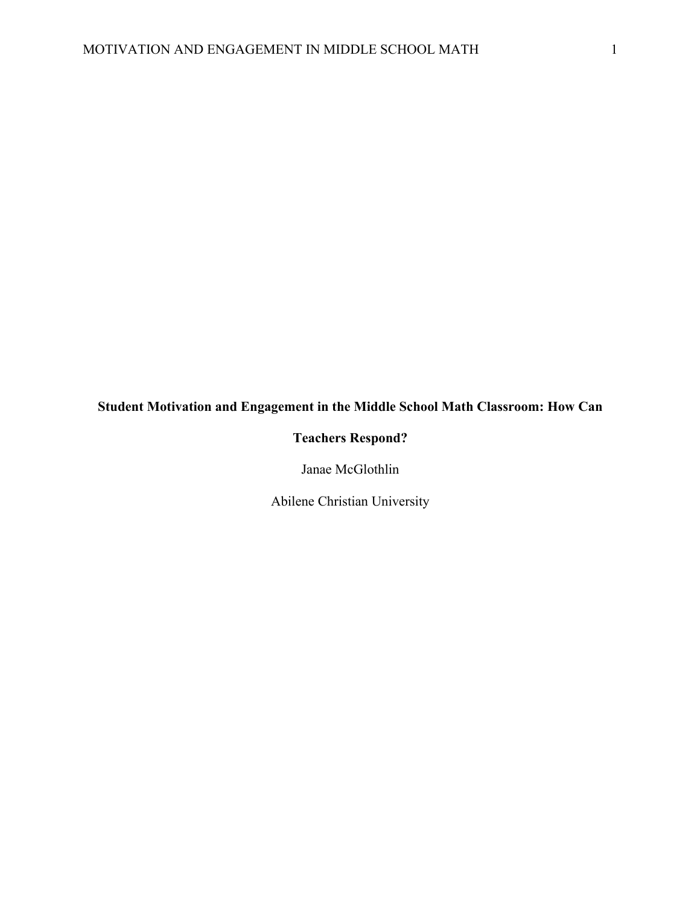## **Student Motivation and Engagement in the Middle School Math Classroom: How Can**

## **Teachers Respond?**

Janae McGlothlin

Abilene Christian University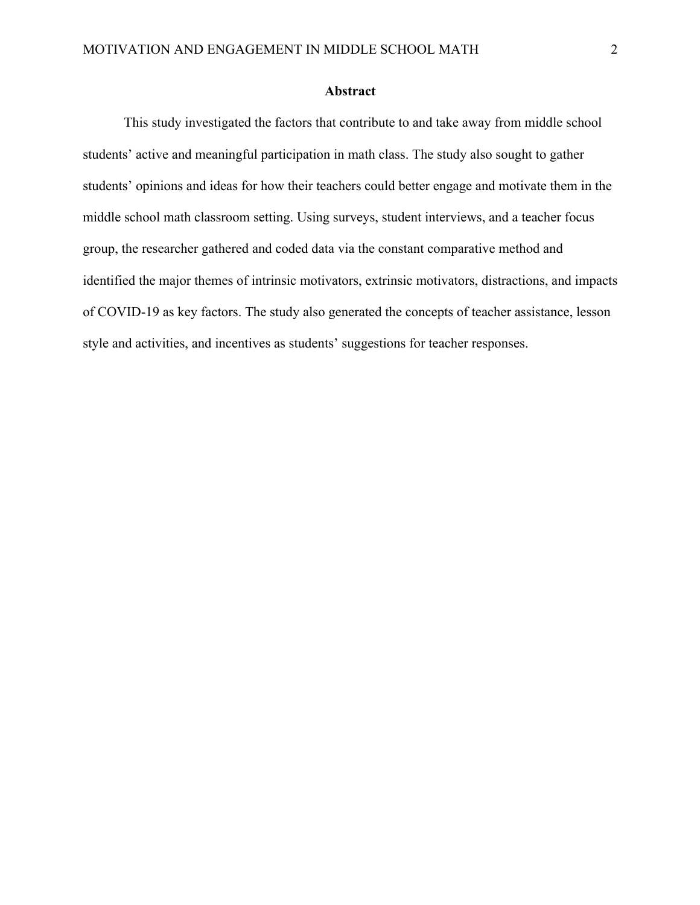#### **Abstract**

This study investigated the factors that contribute to and take away from middle school students' active and meaningful participation in math class. The study also sought to gather students' opinions and ideas for how their teachers could better engage and motivate them in the middle school math classroom setting. Using surveys, student interviews, and a teacher focus group, the researcher gathered and coded data via the constant comparative method and identified the major themes of intrinsic motivators, extrinsic motivators, distractions, and impacts of COVID-19 as key factors. The study also generated the concepts of teacher assistance, lesson style and activities, and incentives as students' suggestions for teacher responses.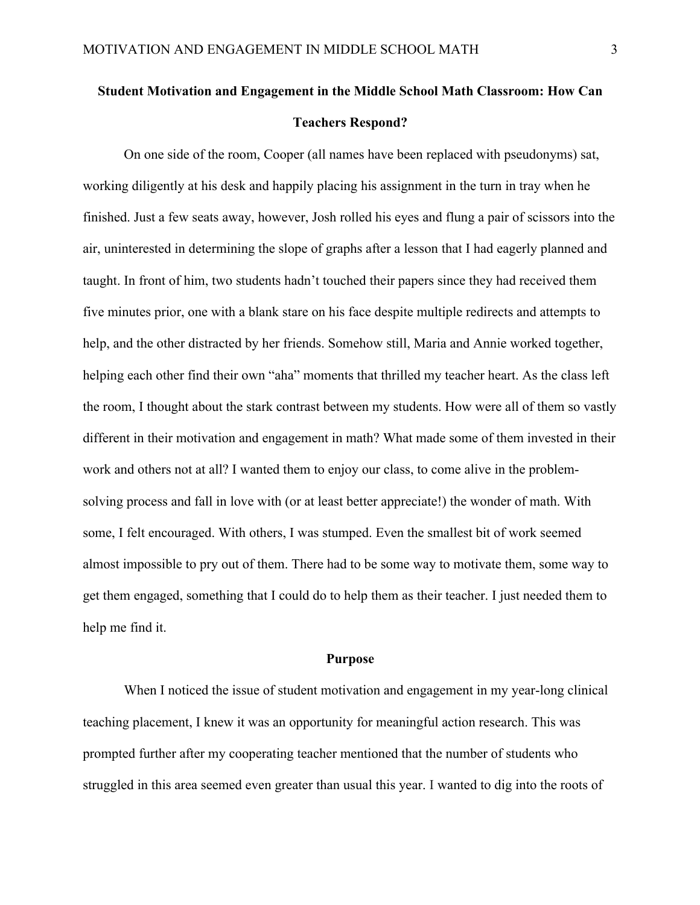# **Student Motivation and Engagement in the Middle School Math Classroom: How Can Teachers Respond?**

On one side of the room, Cooper (all names have been replaced with pseudonyms) sat, working diligently at his desk and happily placing his assignment in the turn in tray when he finished. Just a few seats away, however, Josh rolled his eyes and flung a pair of scissors into the air, uninterested in determining the slope of graphs after a lesson that I had eagerly planned and taught. In front of him, two students hadn't touched their papers since they had received them five minutes prior, one with a blank stare on his face despite multiple redirects and attempts to help, and the other distracted by her friends. Somehow still, Maria and Annie worked together, helping each other find their own "aha" moments that thrilled my teacher heart. As the class left the room, I thought about the stark contrast between my students. How were all of them so vastly different in their motivation and engagement in math? What made some of them invested in their work and others not at all? I wanted them to enjoy our class, to come alive in the problemsolving process and fall in love with (or at least better appreciate!) the wonder of math. With some, I felt encouraged. With others, I was stumped. Even the smallest bit of work seemed almost impossible to pry out of them. There had to be some way to motivate them, some way to get them engaged, something that I could do to help them as their teacher. I just needed them to help me find it.

#### **Purpose**

When I noticed the issue of student motivation and engagement in my year-long clinical teaching placement, I knew it was an opportunity for meaningful action research. This was prompted further after my cooperating teacher mentioned that the number of students who struggled in this area seemed even greater than usual this year. I wanted to dig into the roots of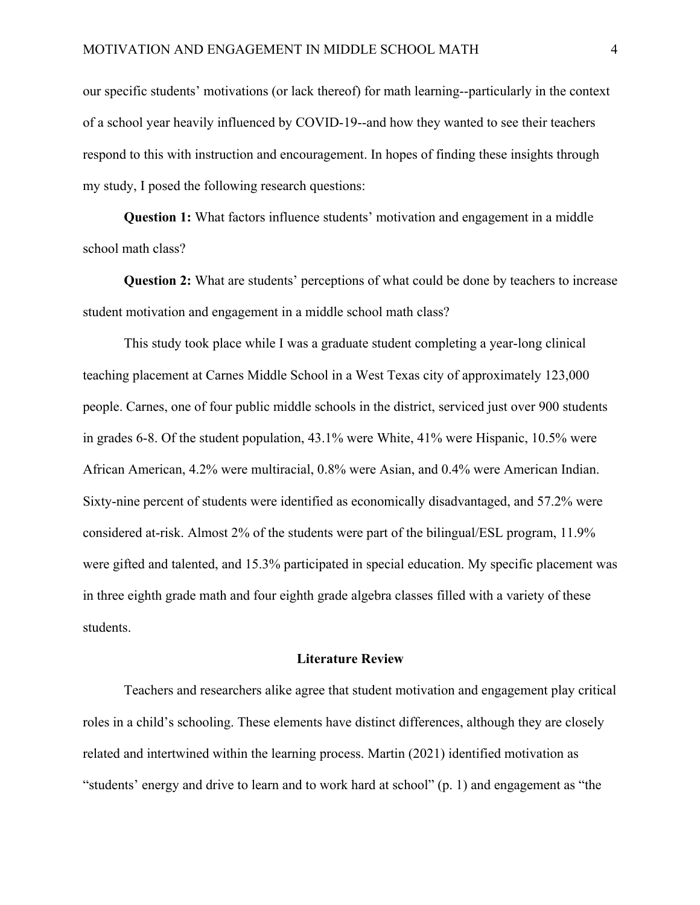our specific students' motivations (or lack thereof) for math learning--particularly in the context of a school year heavily influenced by COVID-19--and how they wanted to see their teachers respond to this with instruction and encouragement. In hopes of finding these insights through my study, I posed the following research questions:

**Question 1:** What factors influence students' motivation and engagement in a middle school math class?

**Question 2:** What are students' perceptions of what could be done by teachers to increase student motivation and engagement in a middle school math class?

This study took place while I was a graduate student completing a year-long clinical teaching placement at Carnes Middle School in a West Texas city of approximately 123,000 people. Carnes, one of four public middle schools in the district, serviced just over 900 students in grades 6-8. Of the student population, 43.1% were White, 41% were Hispanic, 10.5% were African American, 4.2% were multiracial, 0.8% were Asian, and 0.4% were American Indian. Sixty-nine percent of students were identified as economically disadvantaged, and 57.2% were considered at-risk. Almost 2% of the students were part of the bilingual/ESL program, 11.9% were gifted and talented, and 15.3% participated in special education. My specific placement was in three eighth grade math and four eighth grade algebra classes filled with a variety of these students.

#### **Literature Review**

Teachers and researchers alike agree that student motivation and engagement play critical roles in a child's schooling. These elements have distinct differences, although they are closely related and intertwined within the learning process. Martin (2021) identified motivation as "students' energy and drive to learn and to work hard at school" (p. 1) and engagement as "the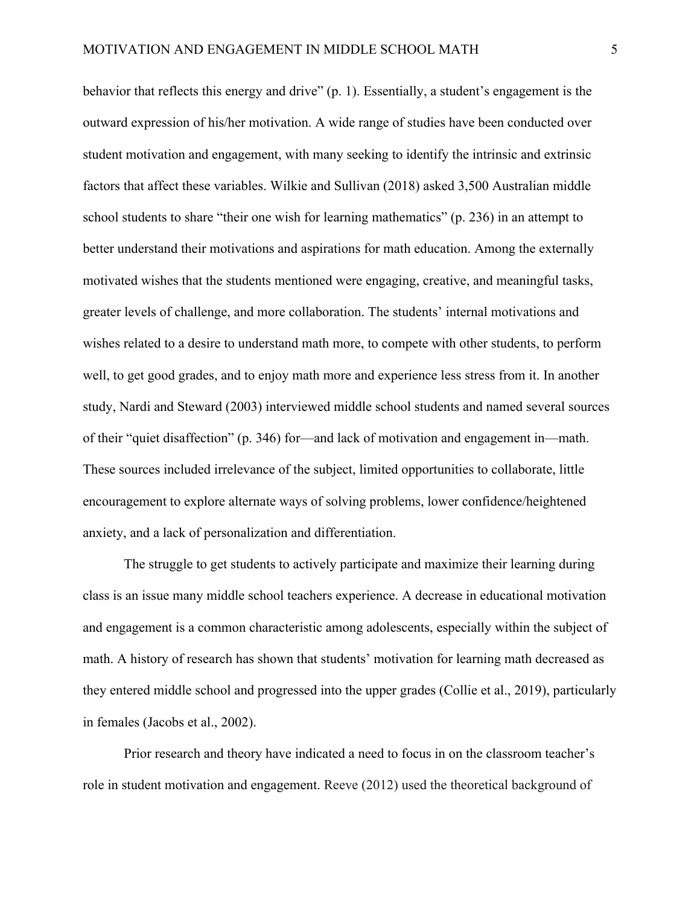behavior that reflects this energy and drive" (p. 1). Essentially, a student's engagement is the outward expression of his/her motivation. A wide range of studies have been conducted over student motivation and engagement, with many seeking to identify the intrinsic and extrinsic factors that affect these variables. Wilkie and Sullivan (2018) asked 3,500 Australian middle school students to share "their one wish for learning mathematics" (p. 236) in an attempt to better understand their motivations and aspirations for math education. Among the externally motivated wishes that the students mentioned were engaging, creative, and meaningful tasks, greater levels of challenge, and more collaboration. The students' internal motivations and wishes related to a desire to understand math more, to compete with other students, to perform well, to get good grades, and to enjoy math more and experience less stress from it. In another study, Nardi and Steward (2003) interviewed middle school students and named several sources of their "quiet disaffection" (p. 346) for—and lack of motivation and engagement in—math. These sources included irrelevance of the subject, limited opportunities to collaborate, little encouragement to explore alternate ways of solving problems, lower confidence/heightened anxiety, and a lack of personalization and differentiation.

The struggle to get students to actively participate and maximize their learning during class is an issue many middle school teachers experience. A decrease in educational motivation and engagement is a common characteristic among adolescents, especially within the subject of math. A history of research has shown that students' motivation for learning math decreased as they entered middle school and progressed into the upper grades (Collie et al., 2019), particularly in females (Jacobs et al., 2002).

Prior research and theory have indicated a need to focus in on the classroom teacher's role in student motivation and engagement. Reeve (2012) used the theoretical background of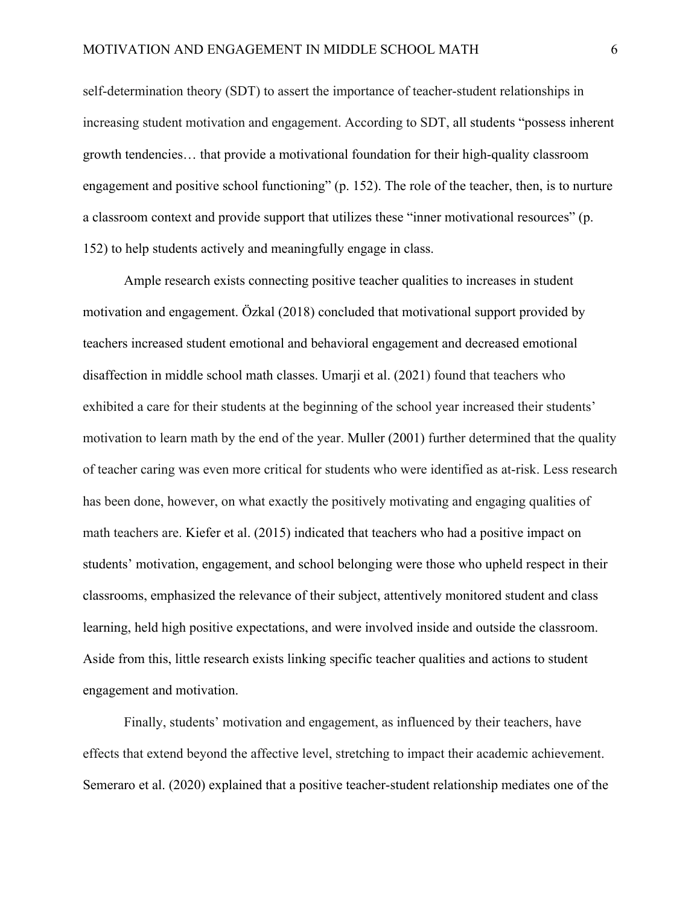self-determination theory (SDT) to assert the importance of teacher-student relationships in increasing student motivation and engagement. According to SDT, all students "possess inherent growth tendencies… that provide a motivational foundation for their high-quality classroom engagement and positive school functioning" (p. 152). The role of the teacher, then, is to nurture a classroom context and provide support that utilizes these "inner motivational resources" (p. 152) to help students actively and meaningfully engage in class.

Ample research exists connecting positive teacher qualities to increases in student motivation and engagement. Özkal (2018) concluded that motivational support provided by teachers increased student emotional and behavioral engagement and decreased emotional disaffection in middle school math classes. Umarji et al. (2021) found that teachers who exhibited a care for their students at the beginning of the school year increased their students' motivation to learn math by the end of the year. Muller (2001) further determined that the quality of teacher caring was even more critical for students who were identified as at-risk. Less research has been done, however, on what exactly the positively motivating and engaging qualities of math teachers are. Kiefer et al. (2015) indicated that teachers who had a positive impact on students' motivation, engagement, and school belonging were those who upheld respect in their classrooms, emphasized the relevance of their subject, attentively monitored student and class learning, held high positive expectations, and were involved inside and outside the classroom. Aside from this, little research exists linking specific teacher qualities and actions to student engagement and motivation.

Finally, students' motivation and engagement, as influenced by their teachers, have effects that extend beyond the affective level, stretching to impact their academic achievement. Semeraro et al. (2020) explained that a positive teacher-student relationship mediates one of the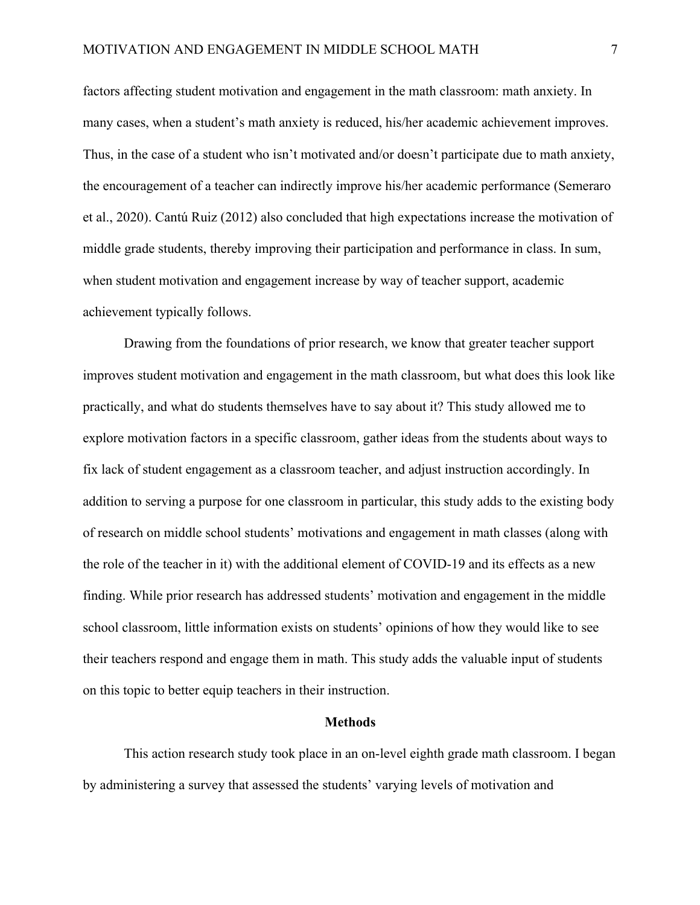factors affecting student motivation and engagement in the math classroom: math anxiety. In many cases, when a student's math anxiety is reduced, his/her academic achievement improves. Thus, in the case of a student who isn't motivated and/or doesn't participate due to math anxiety, the encouragement of a teacher can indirectly improve his/her academic performance (Semeraro et al., 2020). Cantú Ruiz (2012) also concluded that high expectations increase the motivation of middle grade students, thereby improving their participation and performance in class. In sum, when student motivation and engagement increase by way of teacher support, academic achievement typically follows.

Drawing from the foundations of prior research, we know that greater teacher support improves student motivation and engagement in the math classroom, but what does this look like practically, and what do students themselves have to say about it? This study allowed me to explore motivation factors in a specific classroom, gather ideas from the students about ways to fix lack of student engagement as a classroom teacher, and adjust instruction accordingly. In addition to serving a purpose for one classroom in particular, this study adds to the existing body of research on middle school students' motivations and engagement in math classes (along with the role of the teacher in it) with the additional element of COVID-19 and its effects as a new finding. While prior research has addressed students' motivation and engagement in the middle school classroom, little information exists on students' opinions of how they would like to see their teachers respond and engage them in math. This study adds the valuable input of students on this topic to better equip teachers in their instruction.

#### **Methods**

This action research study took place in an on-level eighth grade math classroom. I began by administering a survey that assessed the students' varying levels of motivation and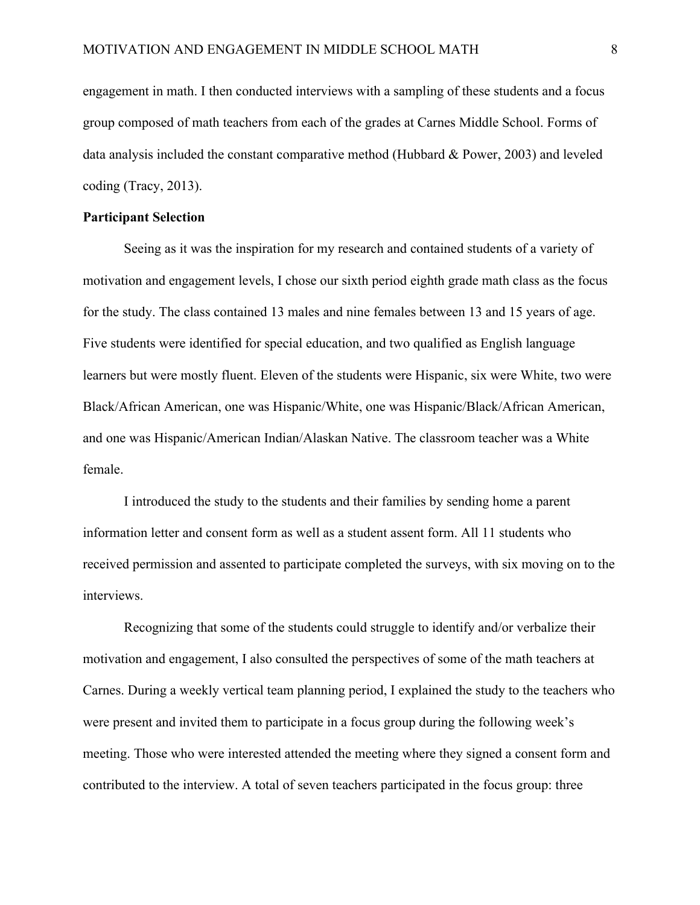engagement in math. I then conducted interviews with a sampling of these students and a focus group composed of math teachers from each of the grades at Carnes Middle School. Forms of data analysis included the constant comparative method (Hubbard & Power, 2003) and leveled coding (Tracy, 2013).

#### **Participant Selection**

Seeing as it was the inspiration for my research and contained students of a variety of motivation and engagement levels, I chose our sixth period eighth grade math class as the focus for the study. The class contained 13 males and nine females between 13 and 15 years of age. Five students were identified for special education, and two qualified as English language learners but were mostly fluent. Eleven of the students were Hispanic, six were White, two were Black/African American, one was Hispanic/White, one was Hispanic/Black/African American, and one was Hispanic/American Indian/Alaskan Native. The classroom teacher was a White female.

I introduced the study to the students and their families by sending home a parent information letter and consent form as well as a student assent form. All 11 students who received permission and assented to participate completed the surveys, with six moving on to the interviews.

Recognizing that some of the students could struggle to identify and/or verbalize their motivation and engagement, I also consulted the perspectives of some of the math teachers at Carnes. During a weekly vertical team planning period, I explained the study to the teachers who were present and invited them to participate in a focus group during the following week's meeting. Those who were interested attended the meeting where they signed a consent form and contributed to the interview. A total of seven teachers participated in the focus group: three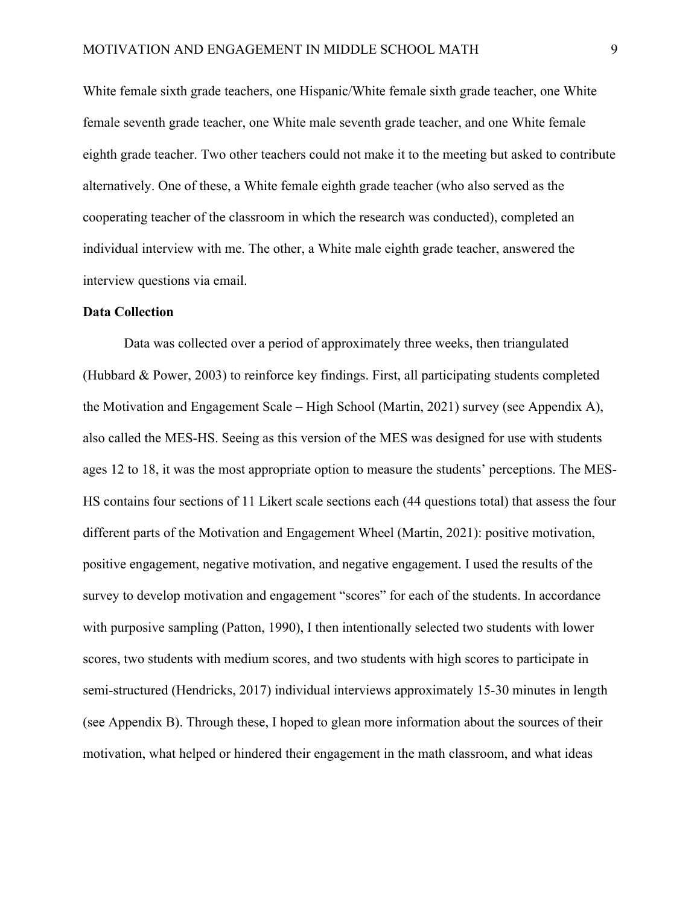White female sixth grade teachers, one Hispanic/White female sixth grade teacher, one White female seventh grade teacher, one White male seventh grade teacher, and one White female eighth grade teacher. Two other teachers could not make it to the meeting but asked to contribute alternatively. One of these, a White female eighth grade teacher (who also served as the cooperating teacher of the classroom in which the research was conducted), completed an individual interview with me. The other, a White male eighth grade teacher, answered the interview questions via email.

#### **Data Collection**

Data was collected over a period of approximately three weeks, then triangulated (Hubbard & Power, 2003) to reinforce key findings. First, all participating students completed the Motivation and Engagement Scale – High School (Martin, 2021) survey (see Appendix A), also called the MES-HS. Seeing as this version of the MES was designed for use with students ages 12 to 18, it was the most appropriate option to measure the students' perceptions. The MES-HS contains four sections of 11 Likert scale sections each (44 questions total) that assess the four different parts of the Motivation and Engagement Wheel (Martin, 2021): positive motivation, positive engagement, negative motivation, and negative engagement. I used the results of the survey to develop motivation and engagement "scores" for each of the students. In accordance with purposive sampling (Patton, 1990), I then intentionally selected two students with lower scores, two students with medium scores, and two students with high scores to participate in semi-structured (Hendricks, 2017) individual interviews approximately 15-30 minutes in length (see Appendix B). Through these, I hoped to glean more information about the sources of their motivation, what helped or hindered their engagement in the math classroom, and what ideas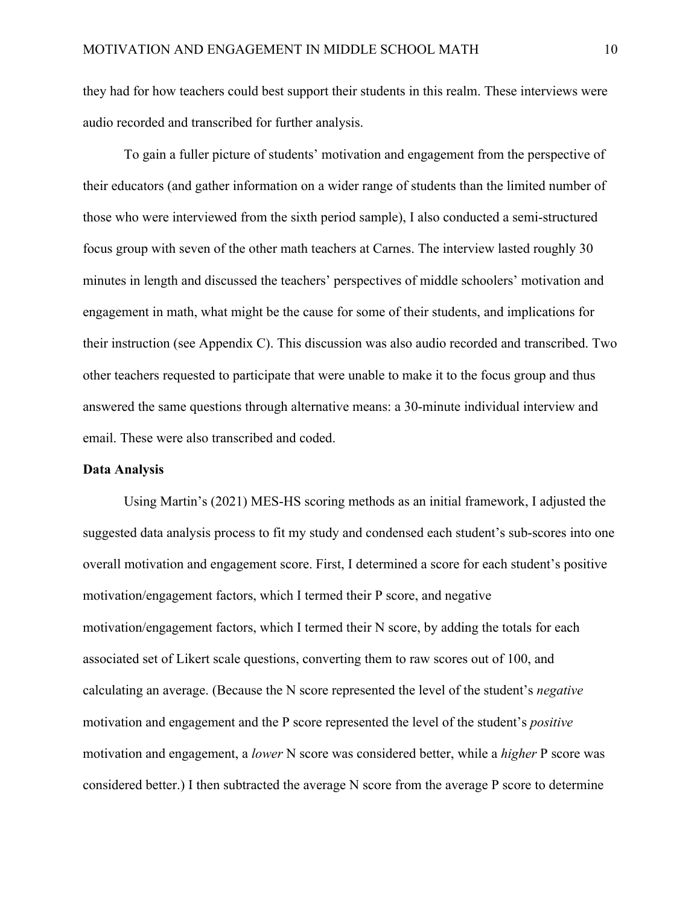they had for how teachers could best support their students in this realm. These interviews were audio recorded and transcribed for further analysis.

To gain a fuller picture of students' motivation and engagement from the perspective of their educators (and gather information on a wider range of students than the limited number of those who were interviewed from the sixth period sample), I also conducted a semi-structured focus group with seven of the other math teachers at Carnes. The interview lasted roughly 30 minutes in length and discussed the teachers' perspectives of middle schoolers' motivation and engagement in math, what might be the cause for some of their students, and implications for their instruction (see Appendix C). This discussion was also audio recorded and transcribed. Two other teachers requested to participate that were unable to make it to the focus group and thus answered the same questions through alternative means: a 30-minute individual interview and email. These were also transcribed and coded.

#### **Data Analysis**

Using Martin's (2021) MES-HS scoring methods as an initial framework, I adjusted the suggested data analysis process to fit my study and condensed each student's sub-scores into one overall motivation and engagement score. First, I determined a score for each student's positive motivation/engagement factors, which I termed their P score, and negative motivation/engagement factors, which I termed their N score, by adding the totals for each associated set of Likert scale questions, converting them to raw scores out of 100, and calculating an average. (Because the N score represented the level of the student's *negative* motivation and engagement and the P score represented the level of the student's *positive*  motivation and engagement, a *lower* N score was considered better, while a *higher* P score was considered better.) I then subtracted the average N score from the average P score to determine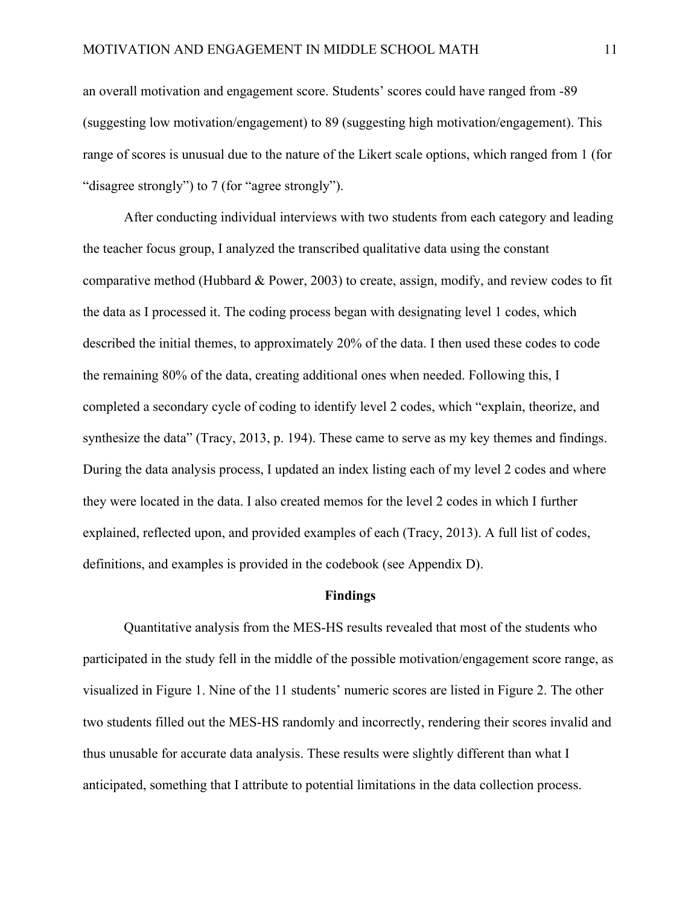an overall motivation and engagement score. Students' scores could have ranged from -89 (suggesting low motivation/engagement) to 89 (suggesting high motivation/engagement). This range of scores is unusual due to the nature of the Likert scale options, which ranged from 1 (for "disagree strongly") to 7 (for "agree strongly").

After conducting individual interviews with two students from each category and leading the teacher focus group, I analyzed the transcribed qualitative data using the constant comparative method (Hubbard & Power, 2003) to create, assign, modify, and review codes to fit the data as I processed it. The coding process began with designating level 1 codes, which described the initial themes, to approximately 20% of the data. I then used these codes to code the remaining 80% of the data, creating additional ones when needed. Following this, I completed a secondary cycle of coding to identify level 2 codes, which "explain, theorize, and synthesize the data" (Tracy, 2013, p. 194). These came to serve as my key themes and findings. During the data analysis process, I updated an index listing each of my level 2 codes and where they were located in the data. I also created memos for the level 2 codes in which I further explained, reflected upon, and provided examples of each (Tracy, 2013). A full list of codes, definitions, and examples is provided in the codebook (see Appendix D).

#### **Findings**

Quantitative analysis from the MES-HS results revealed that most of the students who participated in the study fell in the middle of the possible motivation/engagement score range, as visualized in Figure 1. Nine of the 11 students' numeric scores are listed in Figure 2. The other two students filled out the MES-HS randomly and incorrectly, rendering their scores invalid and thus unusable for accurate data analysis. These results were slightly different than what I anticipated, something that I attribute to potential limitations in the data collection process.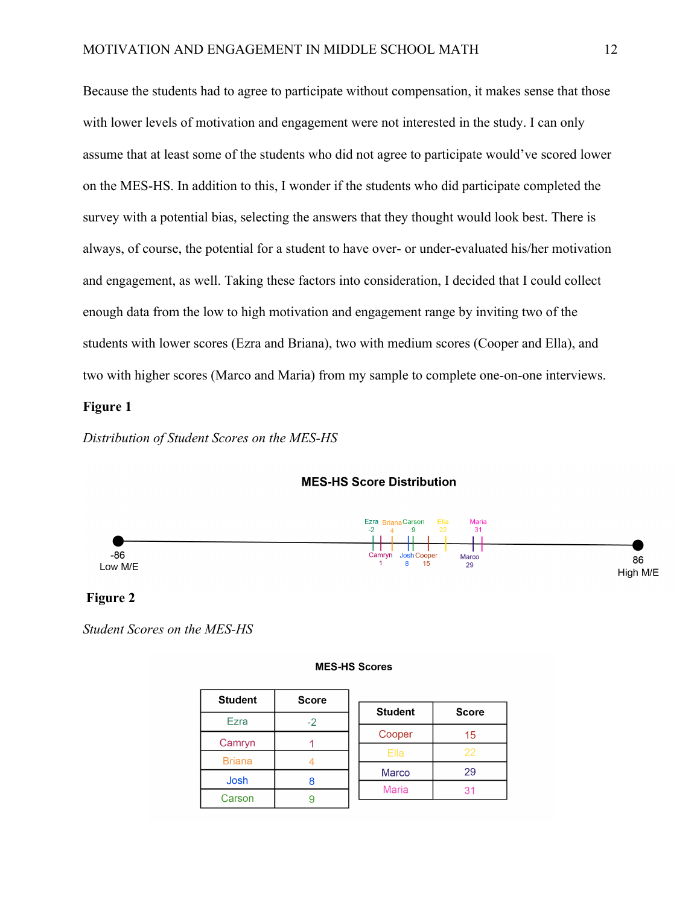Because the students had to agree to participate without compensation, it makes sense that those with lower levels of motivation and engagement were not interested in the study. I can only assume that at least some of the students who did not agree to participate would've scored lower on the MES-HS. In addition to this, I wonder if the students who did participate completed the survey with a potential bias, selecting the answers that they thought would look best. There is always, of course, the potential for a student to have over- or under-evaluated his/her motivation and engagement, as well. Taking these factors into consideration, I decided that I could collect enough data from the low to high motivation and engagement range by inviting two of the students with lower scores (Ezra and Briana), two with medium scores (Cooper and Ella), and two with higher scores (Marco and Maria) from my sample to complete one-on-one interviews.

#### **Figure 1**

*Distribution of Student Scores on the MES-HS*



#### **MES-HS Score Distribution**

#### **Figure 2**

*Student Scores on the MES-HS*

#### **MES-HS Scores**

| <b>Student</b> | <b>Score</b> |                |              |
|----------------|--------------|----------------|--------------|
|                |              | <b>Student</b> | <b>Score</b> |
| Ezra           |              |                |              |
|                |              | Cooper         | 15           |
| Camryn         |              | Ella           | 22           |
| <b>Briana</b>  |              |                |              |
| Josh           |              | <b>Marco</b>   | 29           |
|                |              | <b>Maria</b>   |              |
| Carson         |              |                |              |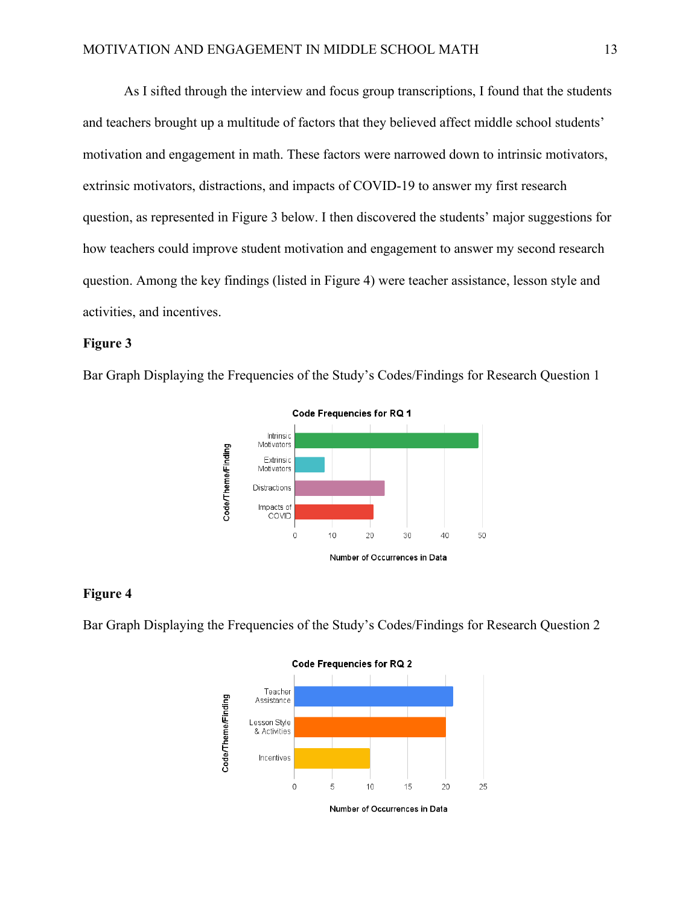As I sifted through the interview and focus group transcriptions, I found that the students and teachers brought up a multitude of factors that they believed affect middle school students' motivation and engagement in math. These factors were narrowed down to intrinsic motivators, extrinsic motivators, distractions, and impacts of COVID-19 to answer my first research question, as represented in Figure 3 below. I then discovered the students' major suggestions for how teachers could improve student motivation and engagement to answer my second research question. Among the key findings (listed in Figure 4) were teacher assistance, lesson style and activities, and incentives.

#### **Figure 3**

Bar Graph Displaying the Frequencies of the Study's Codes/Findings for Research Question 1



#### **Figure 4**

Bar Graph Displaying the Frequencies of the Study's Codes/Findings for Research Question 2

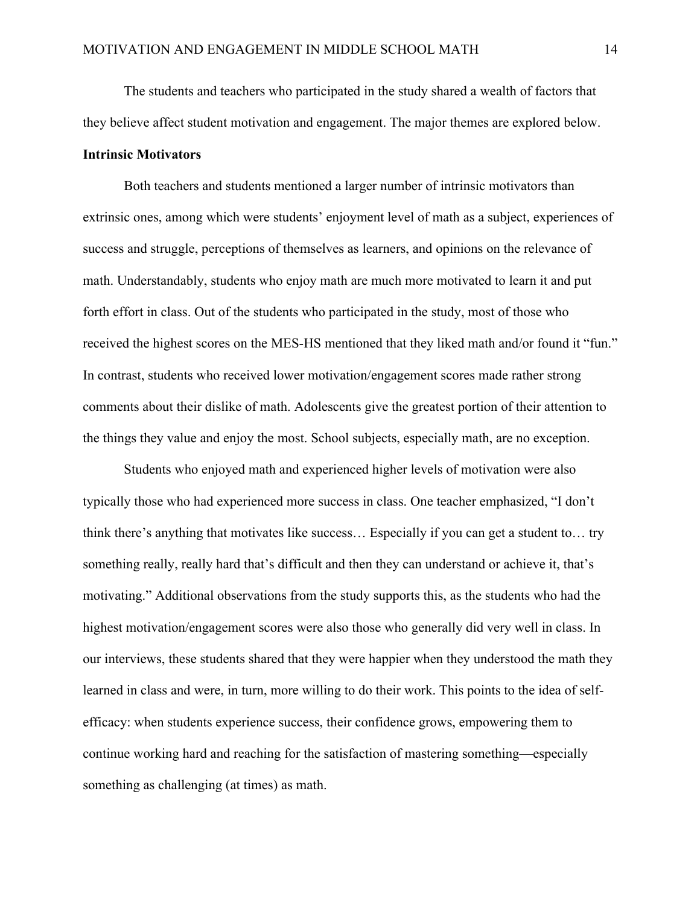The students and teachers who participated in the study shared a wealth of factors that they believe affect student motivation and engagement. The major themes are explored below.

#### **Intrinsic Motivators**

Both teachers and students mentioned a larger number of intrinsic motivators than extrinsic ones, among which were students' enjoyment level of math as a subject, experiences of success and struggle, perceptions of themselves as learners, and opinions on the relevance of math. Understandably, students who enjoy math are much more motivated to learn it and put forth effort in class. Out of the students who participated in the study, most of those who received the highest scores on the MES-HS mentioned that they liked math and/or found it "fun." In contrast, students who received lower motivation/engagement scores made rather strong comments about their dislike of math. Adolescents give the greatest portion of their attention to the things they value and enjoy the most. School subjects, especially math, are no exception.

Students who enjoyed math and experienced higher levels of motivation were also typically those who had experienced more success in class. One teacher emphasized, "I don't think there's anything that motivates like success… Especially if you can get a student to… try something really, really hard that's difficult and then they can understand or achieve it, that's motivating." Additional observations from the study supports this, as the students who had the highest motivation/engagement scores were also those who generally did very well in class. In our interviews, these students shared that they were happier when they understood the math they learned in class and were, in turn, more willing to do their work. This points to the idea of selfefficacy: when students experience success, their confidence grows, empowering them to continue working hard and reaching for the satisfaction of mastering something—especially something as challenging (at times) as math.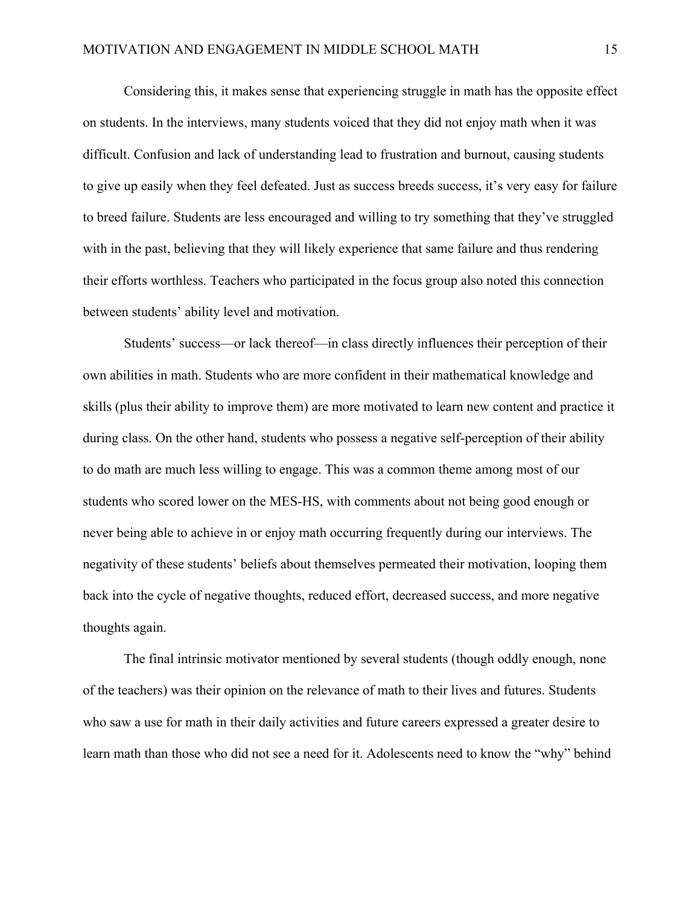Considering this, it makes sense that experiencing struggle in math has the opposite effect on students. In the interviews, many students voiced that they did not enjoy math when it was difficult. Confusion and lack of understanding lead to frustration and burnout, causing students to give up easily when they feel defeated. Just as success breeds success, it's very easy for failure to breed failure. Students are less encouraged and willing to try something that they've struggled with in the past, believing that they will likely experience that same failure and thus rendering their efforts worthless. Teachers who participated in the focus group also noted this connection between students' ability level and motivation.

Students' success—or lack thereof—in class directly influences their perception of their own abilities in math. Students who are more confident in their mathematical knowledge and skills (plus their ability to improve them) are more motivated to learn new content and practice it during class. On the other hand, students who possess a negative self-perception of their ability to do math are much less willing to engage. This was a common theme among most of our students who scored lower on the MES-HS, with comments about not being good enough or never being able to achieve in or enjoy math occurring frequently during our interviews. The negativity of these students' beliefs about themselves permeated their motivation, looping them back into the cycle of negative thoughts, reduced effort, decreased success, and more negative thoughts again.

The final intrinsic motivator mentioned by several students (though oddly enough, none of the teachers) was their opinion on the relevance of math to their lives and futures. Students who saw a use for math in their daily activities and future careers expressed a greater desire to learn math than those who did not see a need for it. Adolescents need to know the "why" behind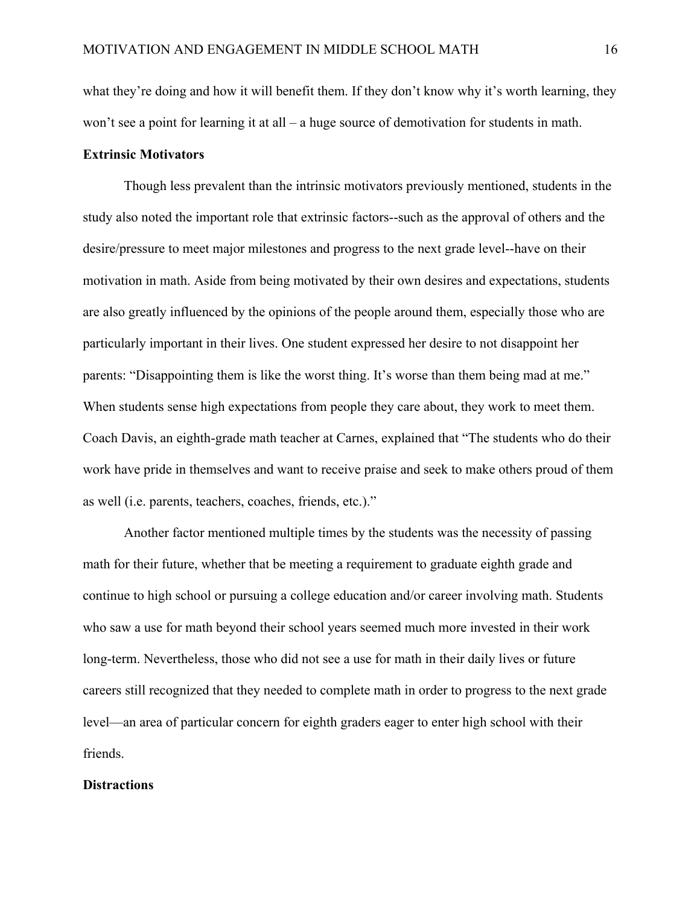what they're doing and how it will benefit them. If they don't know why it's worth learning, they won't see a point for learning it at all – a huge source of demotivation for students in math.

#### **Extrinsic Motivators**

Though less prevalent than the intrinsic motivators previously mentioned, students in the study also noted the important role that extrinsic factors--such as the approval of others and the desire/pressure to meet major milestones and progress to the next grade level--have on their motivation in math. Aside from being motivated by their own desires and expectations, students are also greatly influenced by the opinions of the people around them, especially those who are particularly important in their lives. One student expressed her desire to not disappoint her parents: "Disappointing them is like the worst thing. It's worse than them being mad at me." When students sense high expectations from people they care about, they work to meet them. Coach Davis, an eighth-grade math teacher at Carnes, explained that "The students who do their work have pride in themselves and want to receive praise and seek to make others proud of them as well (i.e. parents, teachers, coaches, friends, etc.)."

Another factor mentioned multiple times by the students was the necessity of passing math for their future, whether that be meeting a requirement to graduate eighth grade and continue to high school or pursuing a college education and/or career involving math. Students who saw a use for math beyond their school years seemed much more invested in their work long-term. Nevertheless, those who did not see a use for math in their daily lives or future careers still recognized that they needed to complete math in order to progress to the next grade level—an area of particular concern for eighth graders eager to enter high school with their friends.

#### **Distractions**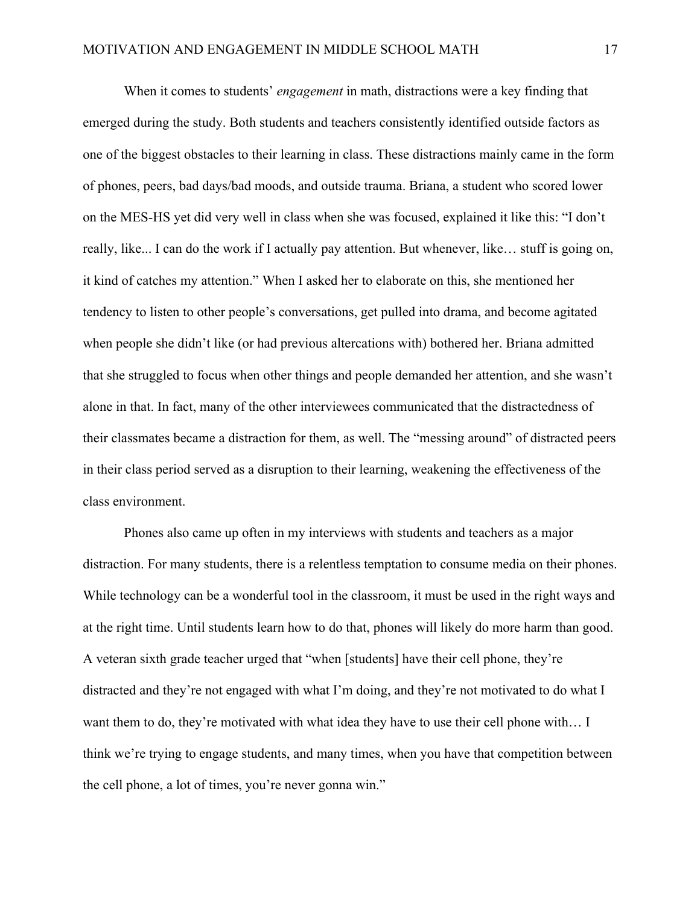When it comes to students' *engagement* in math, distractions were a key finding that emerged during the study. Both students and teachers consistently identified outside factors as one of the biggest obstacles to their learning in class. These distractions mainly came in the form of phones, peers, bad days/bad moods, and outside trauma. Briana, a student who scored lower on the MES-HS yet did very well in class when she was focused, explained it like this: "I don't really, like... I can do the work if I actually pay attention. But whenever, like… stuff is going on, it kind of catches my attention." When I asked her to elaborate on this, she mentioned her tendency to listen to other people's conversations, get pulled into drama, and become agitated when people she didn't like (or had previous altercations with) bothered her. Briana admitted that she struggled to focus when other things and people demanded her attention, and she wasn't alone in that. In fact, many of the other interviewees communicated that the distractedness of their classmates became a distraction for them, as well. The "messing around" of distracted peers in their class period served as a disruption to their learning, weakening the effectiveness of the class environment.

Phones also came up often in my interviews with students and teachers as a major distraction. For many students, there is a relentless temptation to consume media on their phones. While technology can be a wonderful tool in the classroom, it must be used in the right ways and at the right time. Until students learn how to do that, phones will likely do more harm than good. A veteran sixth grade teacher urged that "when [students] have their cell phone, they're distracted and they're not engaged with what I'm doing, and they're not motivated to do what I want them to do, they're motivated with what idea they have to use their cell phone with... I think we're trying to engage students, and many times, when you have that competition between the cell phone, a lot of times, you're never gonna win."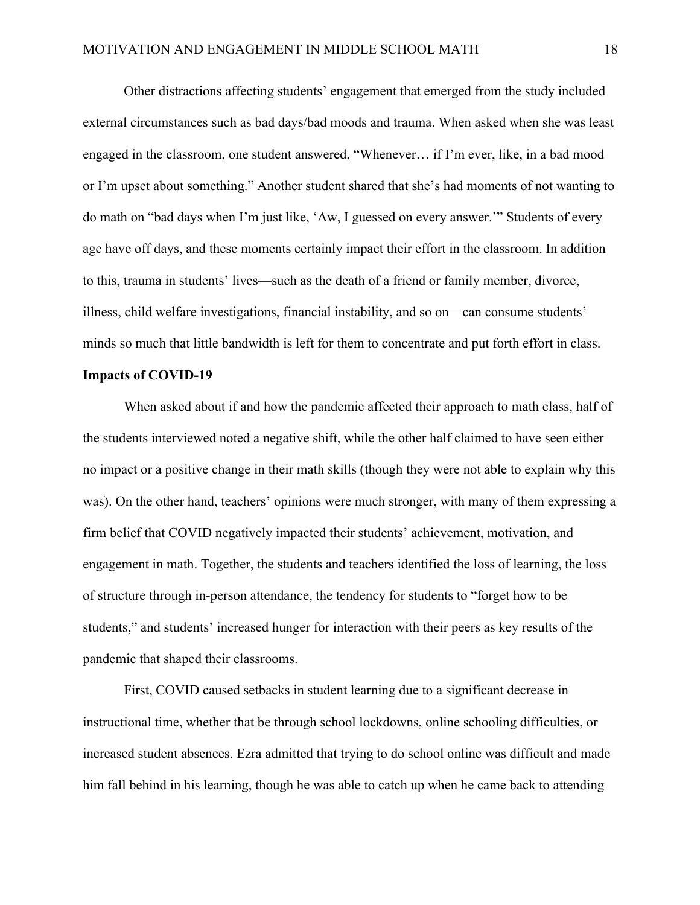Other distractions affecting students' engagement that emerged from the study included external circumstances such as bad days/bad moods and trauma. When asked when she was least engaged in the classroom, one student answered, "Whenever… if I'm ever, like, in a bad mood or I'm upset about something." Another student shared that she's had moments of not wanting to do math on "bad days when I'm just like, 'Aw, I guessed on every answer.'" Students of every age have off days, and these moments certainly impact their effort in the classroom. In addition to this, trauma in students' lives—such as the death of a friend or family member, divorce, illness, child welfare investigations, financial instability, and so on—can consume students' minds so much that little bandwidth is left for them to concentrate and put forth effort in class.

#### **Impacts of COVID-19**

When asked about if and how the pandemic affected their approach to math class, half of the students interviewed noted a negative shift, while the other half claimed to have seen either no impact or a positive change in their math skills (though they were not able to explain why this was). On the other hand, teachers' opinions were much stronger, with many of them expressing a firm belief that COVID negatively impacted their students' achievement, motivation, and engagement in math. Together, the students and teachers identified the loss of learning, the loss of structure through in-person attendance, the tendency for students to "forget how to be students," and students' increased hunger for interaction with their peers as key results of the pandemic that shaped their classrooms.

First, COVID caused setbacks in student learning due to a significant decrease in instructional time, whether that be through school lockdowns, online schooling difficulties, or increased student absences. Ezra admitted that trying to do school online was difficult and made him fall behind in his learning, though he was able to catch up when he came back to attending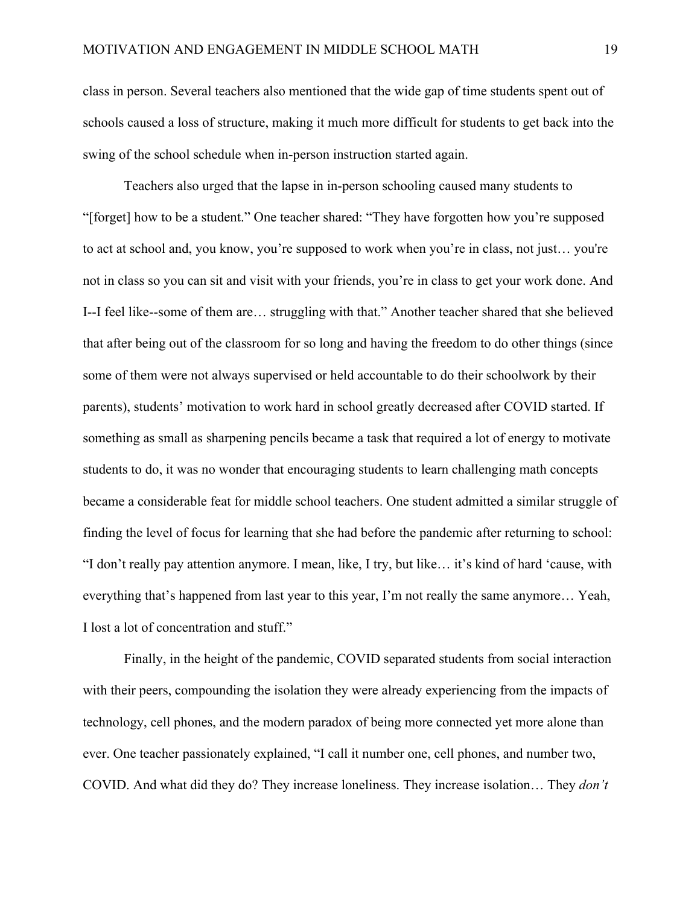class in person. Several teachers also mentioned that the wide gap of time students spent out of schools caused a loss of structure, making it much more difficult for students to get back into the swing of the school schedule when in-person instruction started again.

Teachers also urged that the lapse in in-person schooling caused many students to "[forget] how to be a student." One teacher shared: "They have forgotten how you're supposed to act at school and, you know, you're supposed to work when you're in class, not just… you're not in class so you can sit and visit with your friends, you're in class to get your work done. And I--I feel like--some of them are… struggling with that." Another teacher shared that she believed that after being out of the classroom for so long and having the freedom to do other things (since some of them were not always supervised or held accountable to do their schoolwork by their parents), students' motivation to work hard in school greatly decreased after COVID started. If something as small as sharpening pencils became a task that required a lot of energy to motivate students to do, it was no wonder that encouraging students to learn challenging math concepts became a considerable feat for middle school teachers. One student admitted a similar struggle of finding the level of focus for learning that she had before the pandemic after returning to school: "I don't really pay attention anymore. I mean, like, I try, but like… it's kind of hard 'cause, with everything that's happened from last year to this year, I'm not really the same anymore… Yeah, I lost a lot of concentration and stuff."

Finally, in the height of the pandemic, COVID separated students from social interaction with their peers, compounding the isolation they were already experiencing from the impacts of technology, cell phones, and the modern paradox of being more connected yet more alone than ever. One teacher passionately explained, "I call it number one, cell phones, and number two, COVID. And what did they do? They increase loneliness. They increase isolation… They *don't*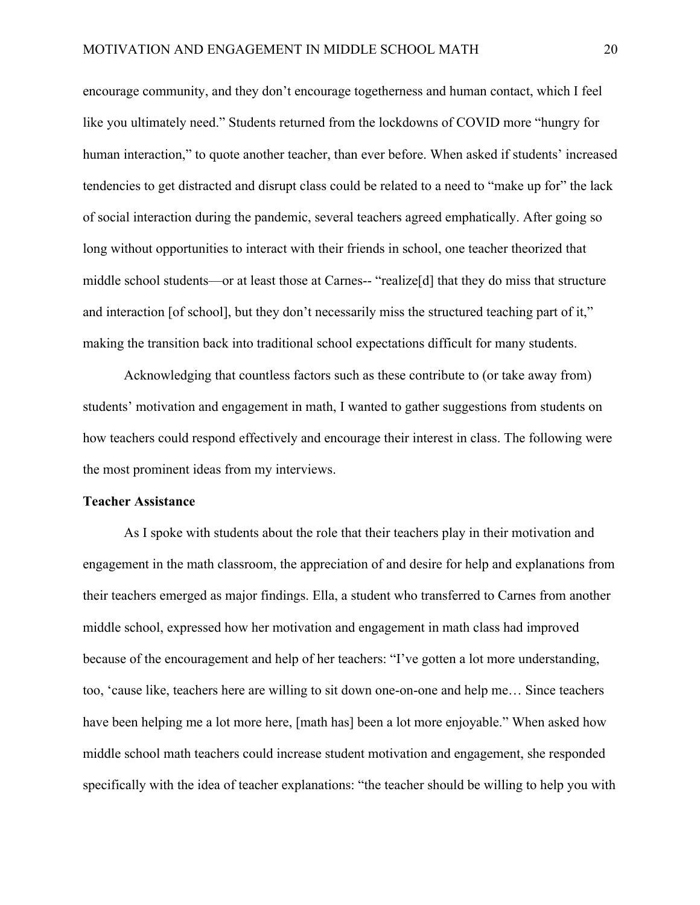encourage community, and they don't encourage togetherness and human contact, which I feel like you ultimately need." Students returned from the lockdowns of COVID more "hungry for human interaction," to quote another teacher, than ever before. When asked if students' increased tendencies to get distracted and disrupt class could be related to a need to "make up for" the lack of social interaction during the pandemic, several teachers agreed emphatically. After going so long without opportunities to interact with their friends in school, one teacher theorized that middle school students—or at least those at Carnes-- "realize[d] that they do miss that structure and interaction [of school], but they don't necessarily miss the structured teaching part of it," making the transition back into traditional school expectations difficult for many students.

Acknowledging that countless factors such as these contribute to (or take away from) students' motivation and engagement in math, I wanted to gather suggestions from students on how teachers could respond effectively and encourage their interest in class. The following were the most prominent ideas from my interviews.

#### **Teacher Assistance**

As I spoke with students about the role that their teachers play in their motivation and engagement in the math classroom, the appreciation of and desire for help and explanations from their teachers emerged as major findings. Ella, a student who transferred to Carnes from another middle school, expressed how her motivation and engagement in math class had improved because of the encouragement and help of her teachers: "I've gotten a lot more understanding, too, 'cause like, teachers here are willing to sit down one-on-one and help me… Since teachers have been helping me a lot more here, [math has] been a lot more enjoyable." When asked how middle school math teachers could increase student motivation and engagement, she responded specifically with the idea of teacher explanations: "the teacher should be willing to help you with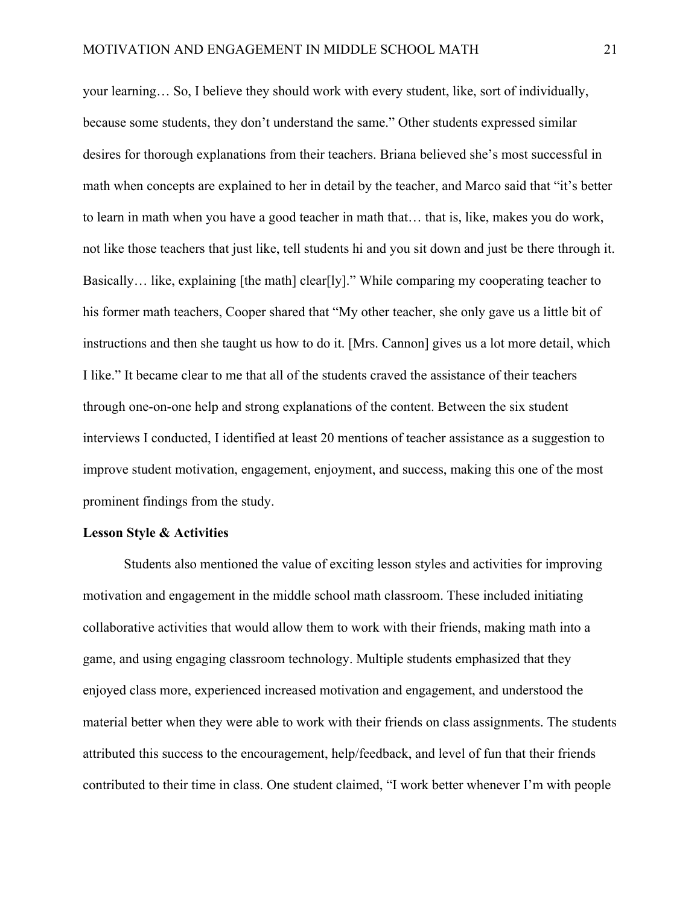your learning… So, I believe they should work with every student, like, sort of individually, because some students, they don't understand the same." Other students expressed similar desires for thorough explanations from their teachers. Briana believed she's most successful in math when concepts are explained to her in detail by the teacher, and Marco said that "it's better to learn in math when you have a good teacher in math that… that is, like, makes you do work, not like those teachers that just like, tell students hi and you sit down and just be there through it. Basically... like, explaining [the math] clear[ly]." While comparing my cooperating teacher to his former math teachers, Cooper shared that "My other teacher, she only gave us a little bit of instructions and then she taught us how to do it. [Mrs. Cannon] gives us a lot more detail, which I like." It became clear to me that all of the students craved the assistance of their teachers through one-on-one help and strong explanations of the content. Between the six student interviews I conducted, I identified at least 20 mentions of teacher assistance as a suggestion to improve student motivation, engagement, enjoyment, and success, making this one of the most prominent findings from the study.

#### **Lesson Style & Activities**

Students also mentioned the value of exciting lesson styles and activities for improving motivation and engagement in the middle school math classroom. These included initiating collaborative activities that would allow them to work with their friends, making math into a game, and using engaging classroom technology. Multiple students emphasized that they enjoyed class more, experienced increased motivation and engagement, and understood the material better when they were able to work with their friends on class assignments. The students attributed this success to the encouragement, help/feedback, and level of fun that their friends contributed to their time in class. One student claimed, "I work better whenever I'm with people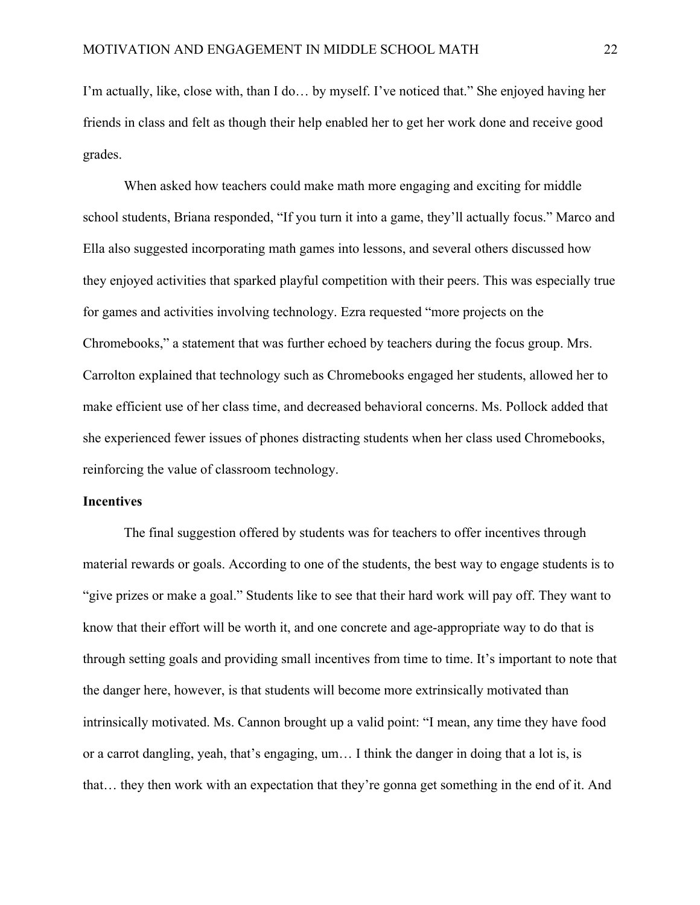I'm actually, like, close with, than I do… by myself. I've noticed that." She enjoyed having her friends in class and felt as though their help enabled her to get her work done and receive good grades.

When asked how teachers could make math more engaging and exciting for middle school students, Briana responded, "If you turn it into a game, they'll actually focus." Marco and Ella also suggested incorporating math games into lessons, and several others discussed how they enjoyed activities that sparked playful competition with their peers. This was especially true for games and activities involving technology. Ezra requested "more projects on the Chromebooks," a statement that was further echoed by teachers during the focus group. Mrs. Carrolton explained that technology such as Chromebooks engaged her students, allowed her to make efficient use of her class time, and decreased behavioral concerns. Ms. Pollock added that she experienced fewer issues of phones distracting students when her class used Chromebooks, reinforcing the value of classroom technology.

#### **Incentives**

The final suggestion offered by students was for teachers to offer incentives through material rewards or goals. According to one of the students, the best way to engage students is to "give prizes or make a goal." Students like to see that their hard work will pay off. They want to know that their effort will be worth it, and one concrete and age-appropriate way to do that is through setting goals and providing small incentives from time to time. It's important to note that the danger here, however, is that students will become more extrinsically motivated than intrinsically motivated. Ms. Cannon brought up a valid point: "I mean, any time they have food or a carrot dangling, yeah, that's engaging, um… I think the danger in doing that a lot is, is that… they then work with an expectation that they're gonna get something in the end of it. And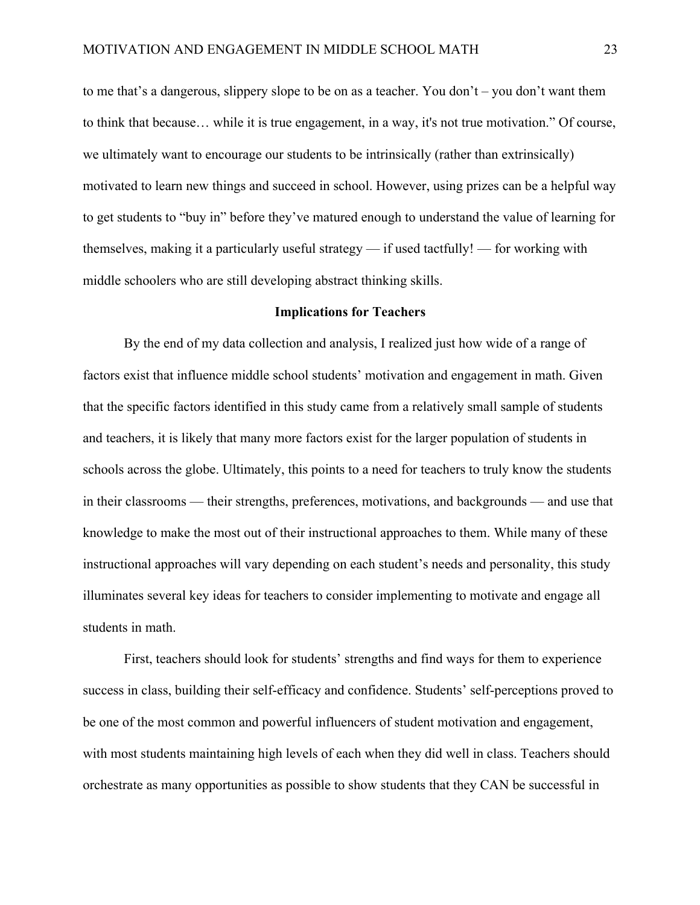to me that's a dangerous, slippery slope to be on as a teacher. You don't – you don't want them to think that because… while it is true engagement, in a way, it's not true motivation." Of course, we ultimately want to encourage our students to be intrinsically (rather than extrinsically) motivated to learn new things and succeed in school. However, using prizes can be a helpful way to get students to "buy in" before they've matured enough to understand the value of learning for themselves, making it a particularly useful strategy — if used tactfully! — for working with middle schoolers who are still developing abstract thinking skills.

#### **Implications for Teachers**

By the end of my data collection and analysis, I realized just how wide of a range of factors exist that influence middle school students' motivation and engagement in math. Given that the specific factors identified in this study came from a relatively small sample of students and teachers, it is likely that many more factors exist for the larger population of students in schools across the globe. Ultimately, this points to a need for teachers to truly know the students in their classrooms — their strengths, preferences, motivations, and backgrounds — and use that knowledge to make the most out of their instructional approaches to them. While many of these instructional approaches will vary depending on each student's needs and personality, this study illuminates several key ideas for teachers to consider implementing to motivate and engage all students in math.

First, teachers should look for students' strengths and find ways for them to experience success in class, building their self-efficacy and confidence. Students' self-perceptions proved to be one of the most common and powerful influencers of student motivation and engagement, with most students maintaining high levels of each when they did well in class. Teachers should orchestrate as many opportunities as possible to show students that they CAN be successful in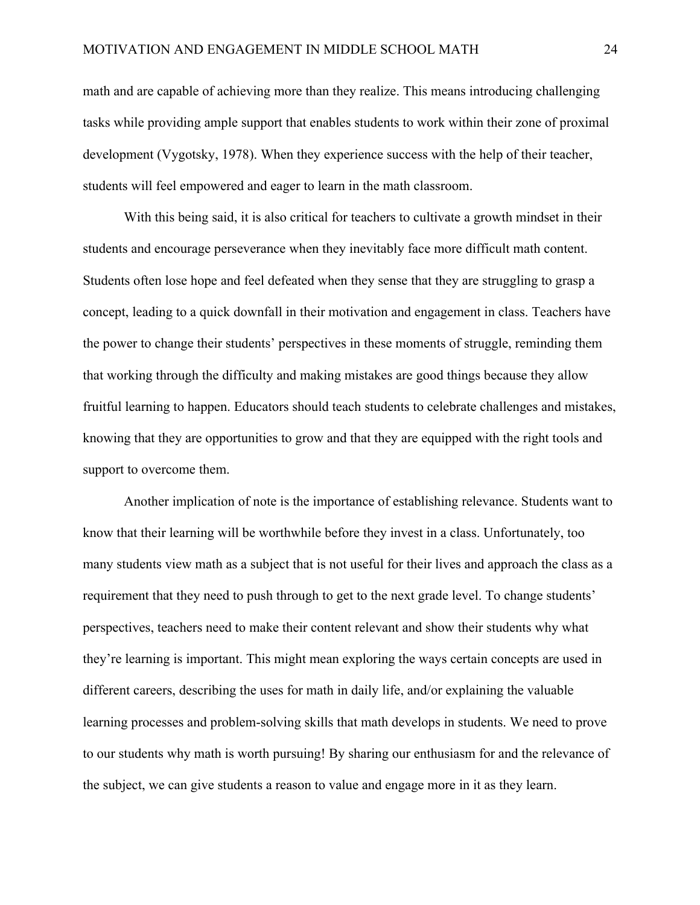math and are capable of achieving more than they realize. This means introducing challenging tasks while providing ample support that enables students to work within their zone of proximal development (Vygotsky, 1978). When they experience success with the help of their teacher, students will feel empowered and eager to learn in the math classroom.

With this being said, it is also critical for teachers to cultivate a growth mindset in their students and encourage perseverance when they inevitably face more difficult math content. Students often lose hope and feel defeated when they sense that they are struggling to grasp a concept, leading to a quick downfall in their motivation and engagement in class. Teachers have the power to change their students' perspectives in these moments of struggle, reminding them that working through the difficulty and making mistakes are good things because they allow fruitful learning to happen. Educators should teach students to celebrate challenges and mistakes, knowing that they are opportunities to grow and that they are equipped with the right tools and support to overcome them.

Another implication of note is the importance of establishing relevance. Students want to know that their learning will be worthwhile before they invest in a class. Unfortunately, too many students view math as a subject that is not useful for their lives and approach the class as a requirement that they need to push through to get to the next grade level. To change students' perspectives, teachers need to make their content relevant and show their students why what they're learning is important. This might mean exploring the ways certain concepts are used in different careers, describing the uses for math in daily life, and/or explaining the valuable learning processes and problem-solving skills that math develops in students. We need to prove to our students why math is worth pursuing! By sharing our enthusiasm for and the relevance of the subject, we can give students a reason to value and engage more in it as they learn.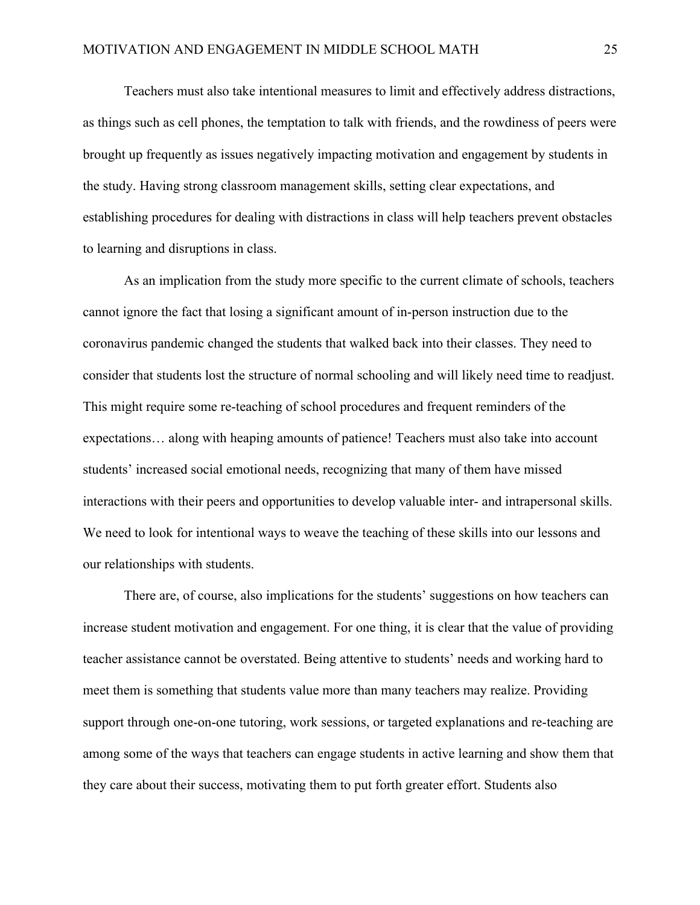Teachers must also take intentional measures to limit and effectively address distractions, as things such as cell phones, the temptation to talk with friends, and the rowdiness of peers were brought up frequently as issues negatively impacting motivation and engagement by students in the study. Having strong classroom management skills, setting clear expectations, and establishing procedures for dealing with distractions in class will help teachers prevent obstacles to learning and disruptions in class.

As an implication from the study more specific to the current climate of schools, teachers cannot ignore the fact that losing a significant amount of in-person instruction due to the coronavirus pandemic changed the students that walked back into their classes. They need to consider that students lost the structure of normal schooling and will likely need time to readjust. This might require some re-teaching of school procedures and frequent reminders of the expectations… along with heaping amounts of patience! Teachers must also take into account students' increased social emotional needs, recognizing that many of them have missed interactions with their peers and opportunities to develop valuable inter- and intrapersonal skills. We need to look for intentional ways to weave the teaching of these skills into our lessons and our relationships with students.

There are, of course, also implications for the students' suggestions on how teachers can increase student motivation and engagement. For one thing, it is clear that the value of providing teacher assistance cannot be overstated. Being attentive to students' needs and working hard to meet them is something that students value more than many teachers may realize. Providing support through one-on-one tutoring, work sessions, or targeted explanations and re-teaching are among some of the ways that teachers can engage students in active learning and show them that they care about their success, motivating them to put forth greater effort. Students also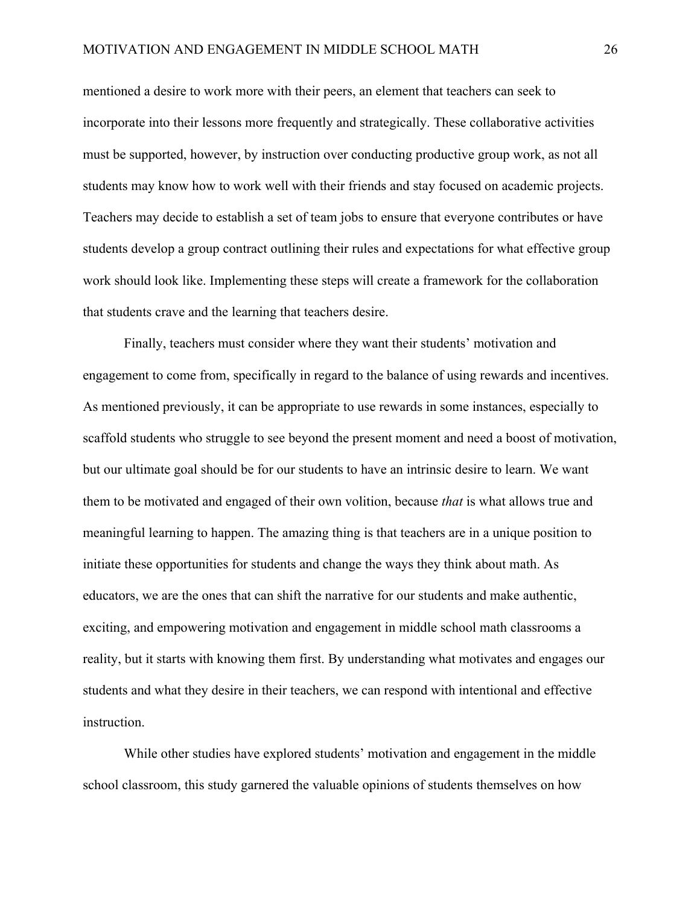mentioned a desire to work more with their peers, an element that teachers can seek to incorporate into their lessons more frequently and strategically. These collaborative activities must be supported, however, by instruction over conducting productive group work, as not all students may know how to work well with their friends and stay focused on academic projects. Teachers may decide to establish a set of team jobs to ensure that everyone contributes or have students develop a group contract outlining their rules and expectations for what effective group work should look like. Implementing these steps will create a framework for the collaboration that students crave and the learning that teachers desire.

Finally, teachers must consider where they want their students' motivation and engagement to come from, specifically in regard to the balance of using rewards and incentives. As mentioned previously, it can be appropriate to use rewards in some instances, especially to scaffold students who struggle to see beyond the present moment and need a boost of motivation, but our ultimate goal should be for our students to have an intrinsic desire to learn. We want them to be motivated and engaged of their own volition, because *that* is what allows true and meaningful learning to happen. The amazing thing is that teachers are in a unique position to initiate these opportunities for students and change the ways they think about math. As educators, we are the ones that can shift the narrative for our students and make authentic, exciting, and empowering motivation and engagement in middle school math classrooms a reality, but it starts with knowing them first. By understanding what motivates and engages our students and what they desire in their teachers, we can respond with intentional and effective instruction.

While other studies have explored students' motivation and engagement in the middle school classroom, this study garnered the valuable opinions of students themselves on how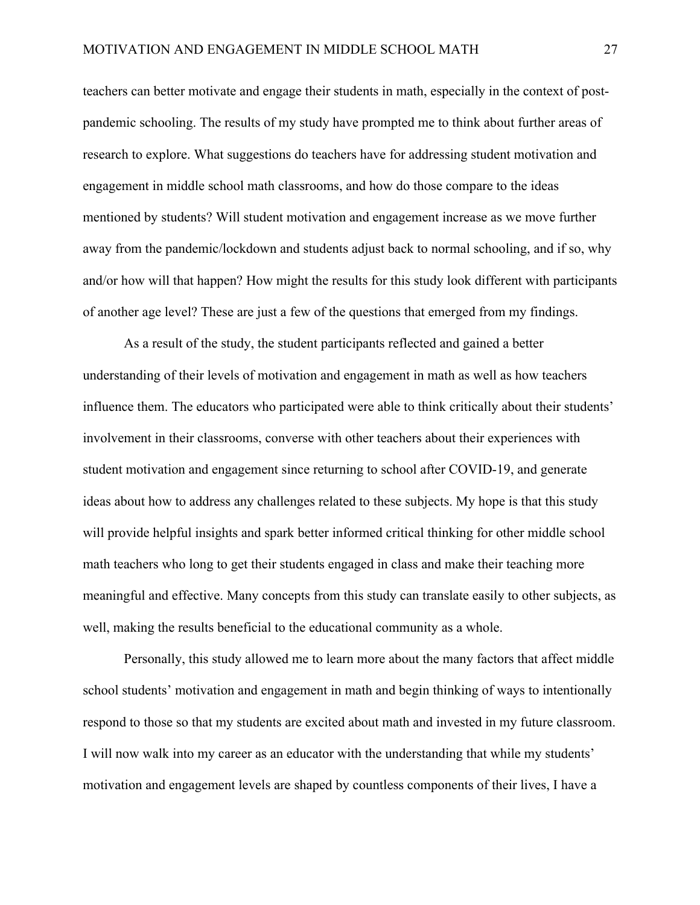teachers can better motivate and engage their students in math, especially in the context of postpandemic schooling. The results of my study have prompted me to think about further areas of research to explore. What suggestions do teachers have for addressing student motivation and engagement in middle school math classrooms, and how do those compare to the ideas mentioned by students? Will student motivation and engagement increase as we move further away from the pandemic/lockdown and students adjust back to normal schooling, and if so, why and/or how will that happen? How might the results for this study look different with participants of another age level? These are just a few of the questions that emerged from my findings.

As a result of the study, the student participants reflected and gained a better understanding of their levels of motivation and engagement in math as well as how teachers influence them. The educators who participated were able to think critically about their students' involvement in their classrooms, converse with other teachers about their experiences with student motivation and engagement since returning to school after COVID-19, and generate ideas about how to address any challenges related to these subjects. My hope is that this study will provide helpful insights and spark better informed critical thinking for other middle school math teachers who long to get their students engaged in class and make their teaching more meaningful and effective. Many concepts from this study can translate easily to other subjects, as well, making the results beneficial to the educational community as a whole.

Personally, this study allowed me to learn more about the many factors that affect middle school students' motivation and engagement in math and begin thinking of ways to intentionally respond to those so that my students are excited about math and invested in my future classroom. I will now walk into my career as an educator with the understanding that while my students' motivation and engagement levels are shaped by countless components of their lives, I have a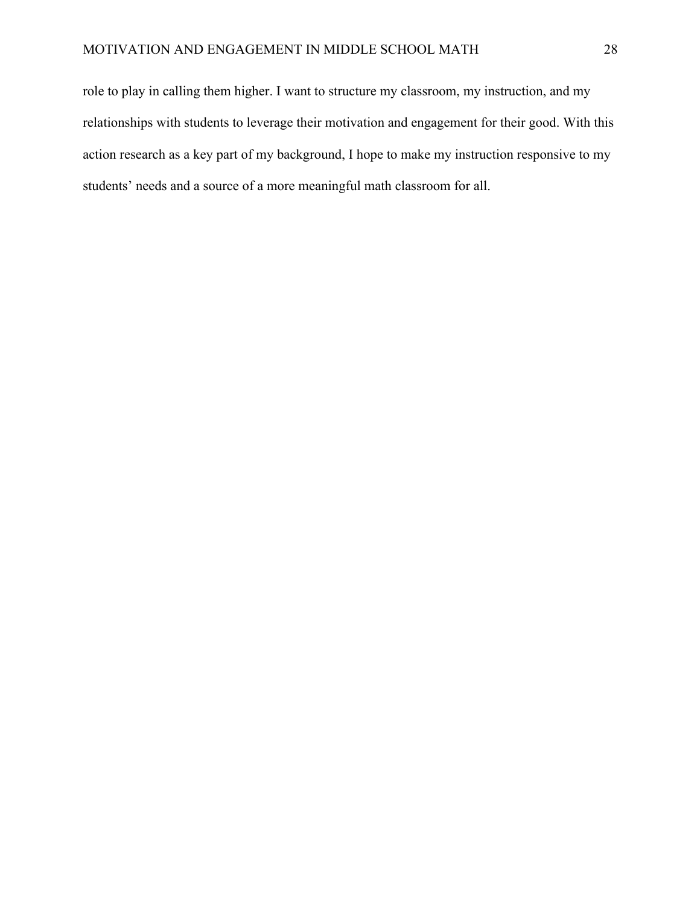role to play in calling them higher. I want to structure my classroom, my instruction, and my relationships with students to leverage their motivation and engagement for their good. With this action research as a key part of my background, I hope to make my instruction responsive to my students' needs and a source of a more meaningful math classroom for all.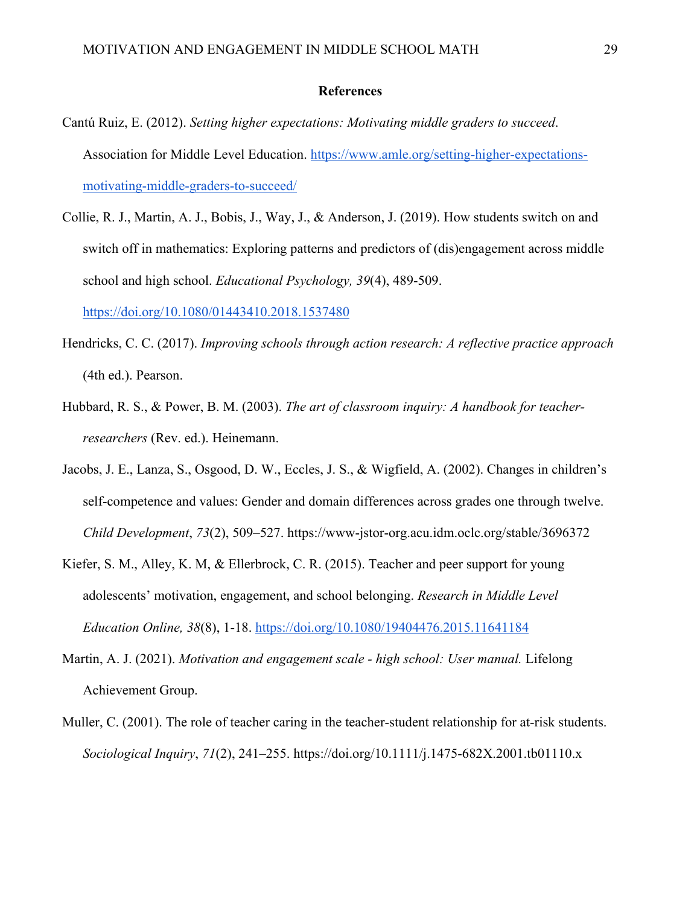#### **References**

- Cantú Ruiz, E. (2012). *Setting higher expectations: Motivating middle graders to succeed*. Association for Middle Level Education. https://www.amle.org/setting-higher-expectationsmotivating-middle-graders-to-succeed/
- Collie, R. J., Martin, A. J., Bobis, J., Way, J., & Anderson, J. (2019). How students switch on and switch off in mathematics: Exploring patterns and predictors of (dis)engagement across middle school and high school. *Educational Psychology, 39*(4), 489-509.

https://doi.org/10.1080/01443410.2018.1537480

- Hendricks, C. C. (2017). *Improving schools through action research: A reflective practice approach*  (4th ed.). Pearson.
- Hubbard, R. S., & Power, B. M. (2003). *The art of classroom inquiry: A handbook for teacherresearchers* (Rev. ed.). Heinemann.
- Jacobs, J. E., Lanza, S., Osgood, D. W., Eccles, J. S., & Wigfield, A. (2002). Changes in children's self-competence and values: Gender and domain differences across grades one through twelve. *Child Development*, *73*(2), 509–527. https://www-jstor-org.acu.idm.oclc.org/stable/3696372
- Kiefer, S. M., Alley, K. M, & Ellerbrock, C. R. (2015). Teacher and peer support for young adolescents' motivation, engagement, and school belonging. *Research in Middle Level Education Online, 38*(8), 1-18. https://doi.org/10.1080/19404476.2015.11641184
- Martin, A. J. (2021). *Motivation and engagement scale - high school: User manual.* Lifelong Achievement Group.
- Muller, C. (2001). The role of teacher caring in the teacher-student relationship for at-risk students. *Sociological Inquiry*, *71*(2), 241–255. https://doi.org/10.1111/j.1475-682X.2001.tb01110.x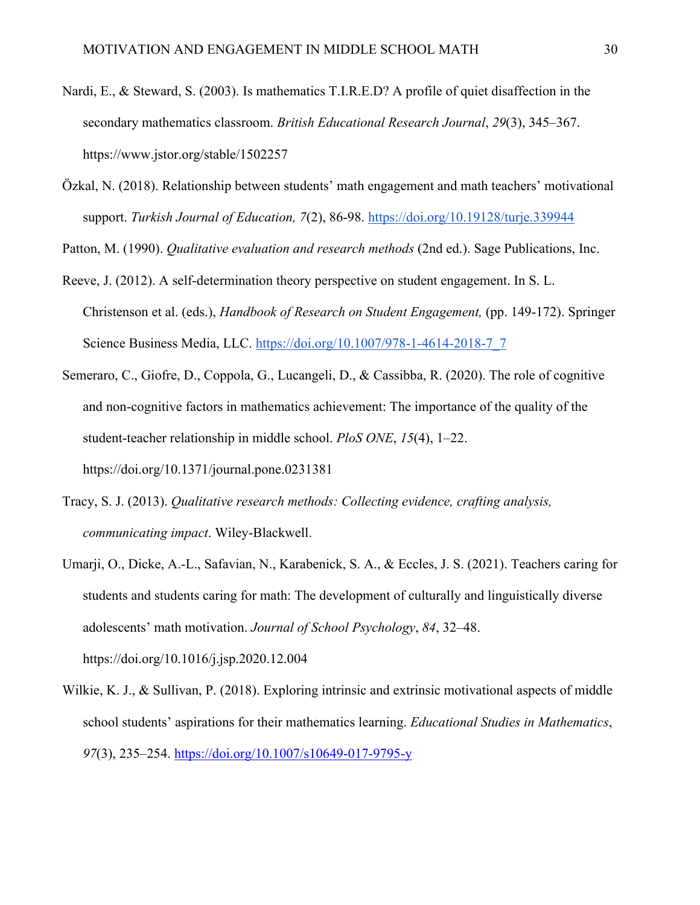- Nardi, E., & Steward, S. (2003). Is mathematics T.I.R.E.D? A profile of quiet disaffection in the secondary mathematics classroom. *British Educational Research Journal*, *29*(3), 345–367. https://www.jstor.org/stable/1502257
- Özkal, N. (2018). Relationship between students' math engagement and math teachers' motivational support. *Turkish Journal of Education, 7*(2), 86-98. https://doi.org/10.19128/turje.339944

Patton, M. (1990). *Qualitative evaluation and research methods* (2nd ed.). Sage Publications, Inc.

- Reeve, J. (2012). A self-determination theory perspective on student engagement. In S. L. Christenson et al. (eds.), *Handbook of Research on Student Engagement,* (pp. 149-172). Springer Science Business Media, LLC. https://doi.org/10.1007/978-1-4614-2018-7\_7
- Semeraro, C., Giofre, D., Coppola, G., Lucangeli, D., & Cassibba, R. (2020). The role of cognitive and non-cognitive factors in mathematics achievement: The importance of the quality of the student-teacher relationship in middle school. *PloS ONE*, *15*(4), 1–22. https://doi.org/10.1371/journal.pone.0231381
- Tracy, S. J. (2013). *Qualitative research methods: Collecting evidence, crafting analysis, communicating impact*. Wiley-Blackwell.
- Umarji, O., Dicke, A.-L., Safavian, N., Karabenick, S. A., & Eccles, J. S. (2021). Teachers caring for students and students caring for math: The development of culturally and linguistically diverse adolescents' math motivation. *Journal of School Psychology*, *84*, 32–48. https://doi.org/10.1016/j.jsp.2020.12.004
- Wilkie, K. J., & Sullivan, P. (2018). Exploring intrinsic and extrinsic motivational aspects of middle school students' aspirations for their mathematics learning. *Educational Studies in Mathematics*, *97*(3), 235–254. https://doi.org/10.1007/s10649-017-9795-y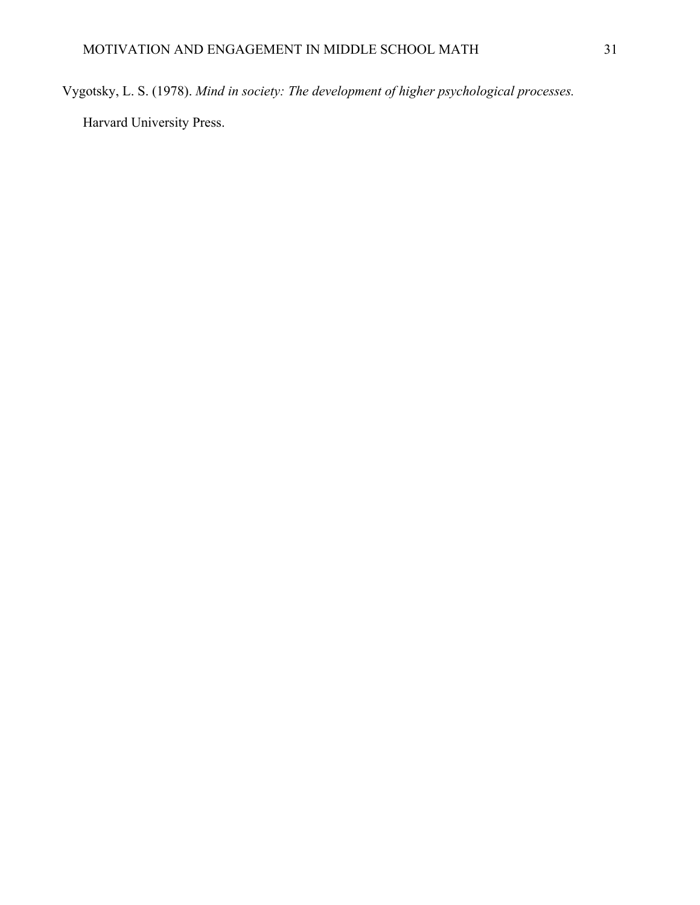Vygotsky, L. S. (1978). *Mind in society: The development of higher psychological processes.* 

Harvard University Press.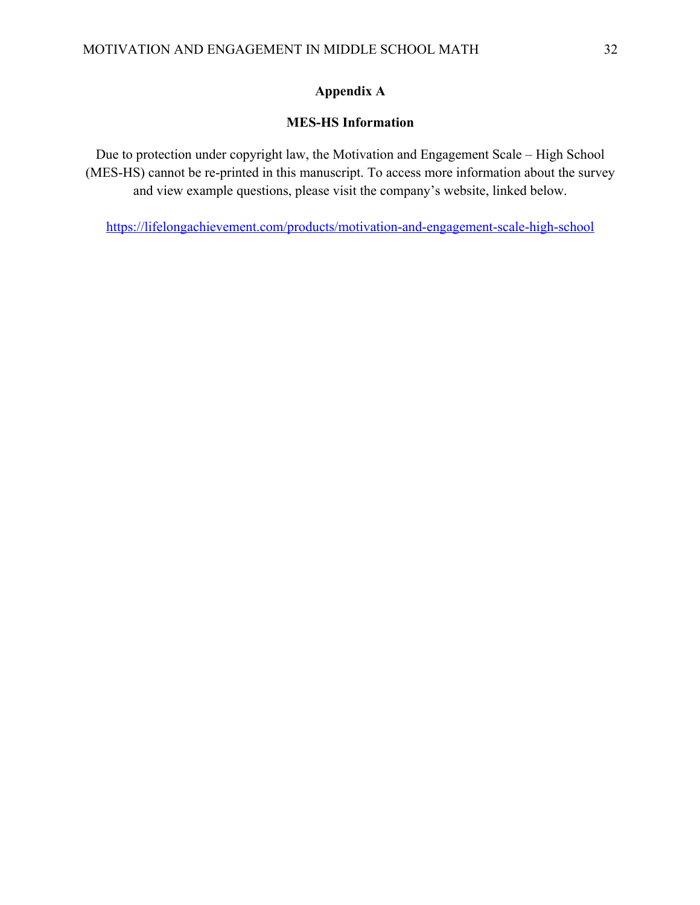## **Appendix A**

## **MES-HS Information**

Due to protection under copyright law, the Motivation and Engagement Scale – High School (MES-HS) cannot be re-printed in this manuscript. To access more information about the survey and view example questions, please visit the company's website, linked below.

https://lifelongachievement.com/products/motivation-and-engagement-scale-high-school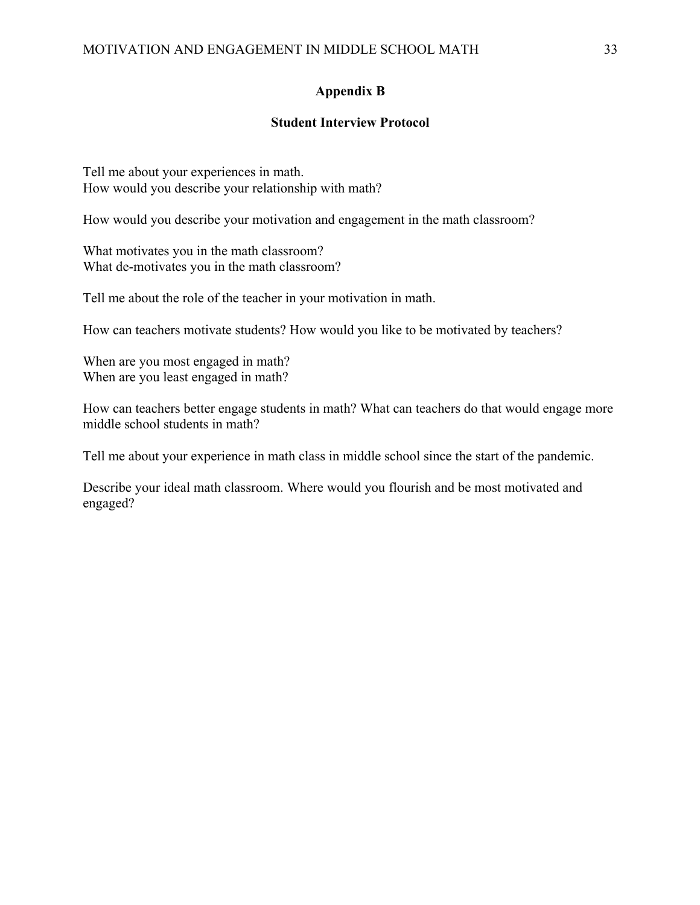### **Appendix B**

### **Student Interview Protocol**

Tell me about your experiences in math. How would you describe your relationship with math?

How would you describe your motivation and engagement in the math classroom?

What motivates you in the math classroom? What de-motivates you in the math classroom?

Tell me about the role of the teacher in your motivation in math.

How can teachers motivate students? How would you like to be motivated by teachers?

When are you most engaged in math? When are you least engaged in math?

How can teachers better engage students in math? What can teachers do that would engage more middle school students in math?

Tell me about your experience in math class in middle school since the start of the pandemic.

Describe your ideal math classroom. Where would you flourish and be most motivated and engaged?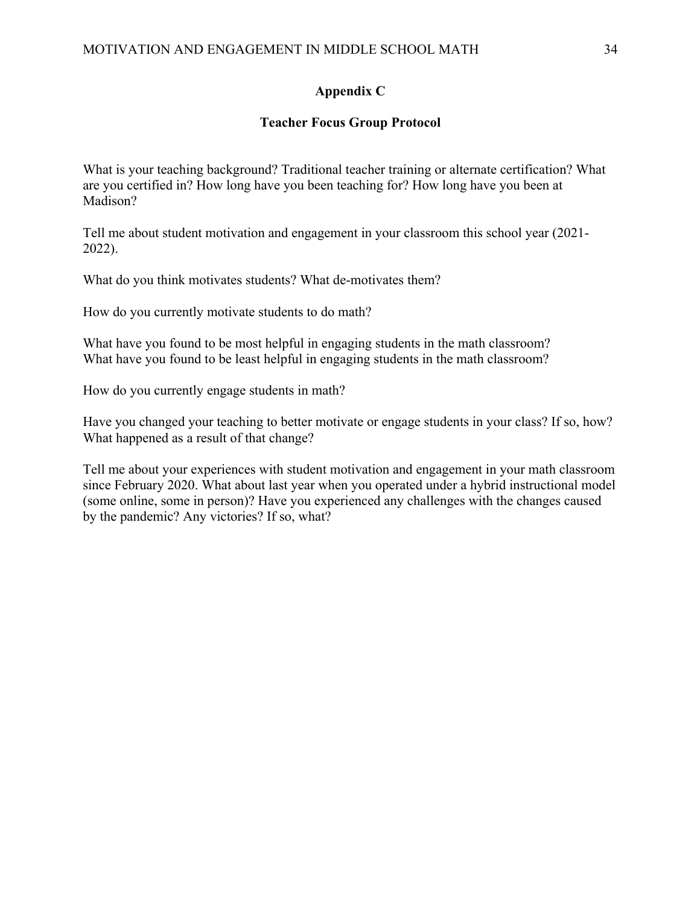## **Appendix C**

### **Teacher Focus Group Protocol**

What is your teaching background? Traditional teacher training or alternate certification? What are you certified in? How long have you been teaching for? How long have you been at Madison?

Tell me about student motivation and engagement in your classroom this school year (2021- 2022).

What do you think motivates students? What de-motivates them?

How do you currently motivate students to do math?

What have you found to be most helpful in engaging students in the math classroom? What have you found to be least helpful in engaging students in the math classroom?

How do you currently engage students in math?

Have you changed your teaching to better motivate or engage students in your class? If so, how? What happened as a result of that change?

Tell me about your experiences with student motivation and engagement in your math classroom since February 2020. What about last year when you operated under a hybrid instructional model (some online, some in person)? Have you experienced any challenges with the changes caused by the pandemic? Any victories? If so, what?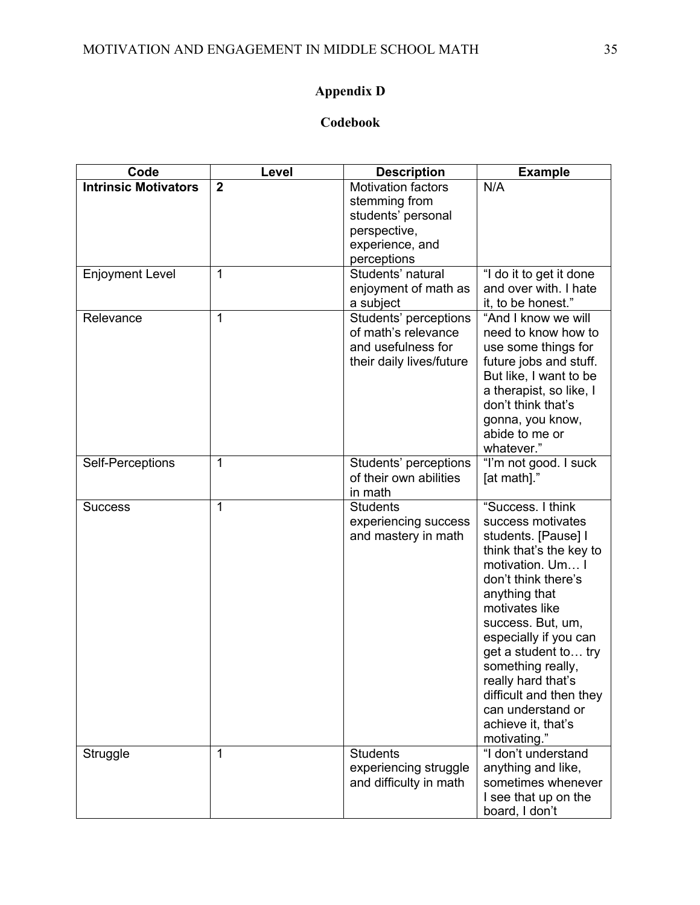# **Appendix D**

## **Codebook**

| Code                        | Level          | <b>Description</b>                                                                                  | <b>Example</b>                                                                                                                                                                                                                                                                                                                                                                |
|-----------------------------|----------------|-----------------------------------------------------------------------------------------------------|-------------------------------------------------------------------------------------------------------------------------------------------------------------------------------------------------------------------------------------------------------------------------------------------------------------------------------------------------------------------------------|
| <b>Intrinsic Motivators</b> | $\overline{2}$ | <b>Motivation factors</b><br>stemming from<br>students' personal<br>perspective,<br>experience, and | N/A                                                                                                                                                                                                                                                                                                                                                                           |
|                             |                | perceptions                                                                                         |                                                                                                                                                                                                                                                                                                                                                                               |
| <b>Enjoyment Level</b>      | $\mathbf{1}$   | Students' natural<br>enjoyment of math as<br>a subject                                              | "I do it to get it done<br>and over with. I hate<br>it, to be honest."                                                                                                                                                                                                                                                                                                        |
| Relevance                   | $\mathbf 1$    | Students' perceptions<br>of math's relevance<br>and usefulness for<br>their daily lives/future      | "And I know we will<br>need to know how to<br>use some things for<br>future jobs and stuff.<br>But like, I want to be<br>a therapist, so like, I<br>don't think that's<br>gonna, you know,<br>abide to me or<br>whatever."                                                                                                                                                    |
| Self-Perceptions            | $\mathbf{1}$   | Students' perceptions<br>of their own abilities<br>in math                                          | "I'm not good. I suck<br>[at math]."                                                                                                                                                                                                                                                                                                                                          |
| <b>Success</b>              | $\mathbf{1}$   | <b>Students</b><br>experiencing success<br>and mastery in math                                      | "Success. I think<br>success motivates<br>students. [Pause] I<br>think that's the key to<br>motivation. Um I<br>don't think there's<br>anything that<br>motivates like<br>success. But, um,<br>especially if you can<br>get a student to try<br>something really,<br>really hard that's<br>difficult and then they<br>can understand or<br>achieve it, that's<br>motivating." |
| Struggle                    | $\mathbf{1}$   | <b>Students</b><br>experiencing struggle<br>and difficulty in math                                  | "I don't understand<br>anything and like,<br>sometimes whenever<br>I see that up on the<br>board, I don't                                                                                                                                                                                                                                                                     |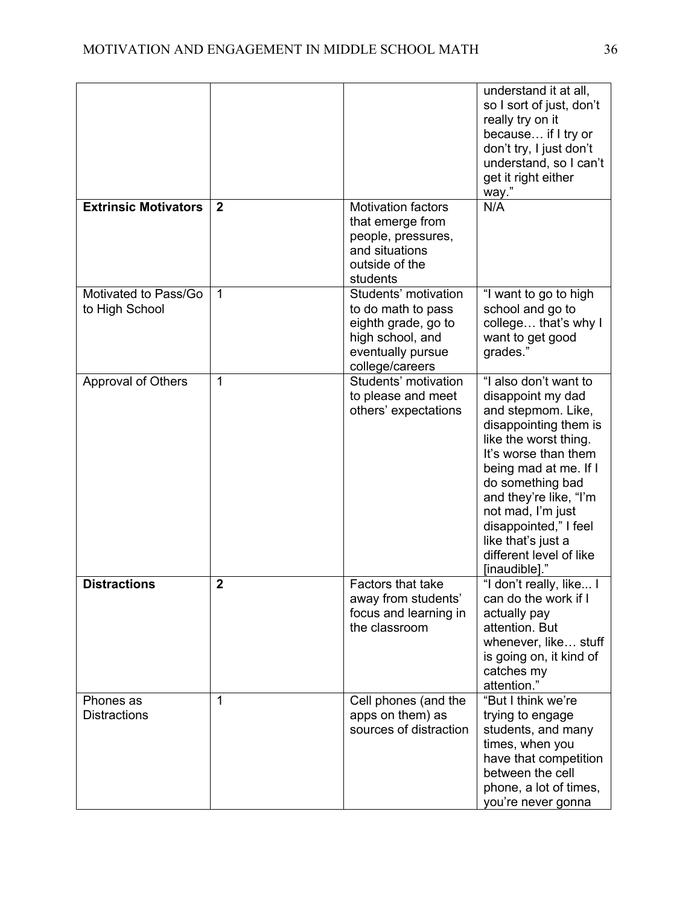|                                        |              |                                                                                                                               | understand it at all,<br>so I sort of just, don't<br>really try on it<br>because if I try or<br>don't try, I just don't<br>understand, so I can't<br>get it right either<br>way."                                                                                                                                                 |
|----------------------------------------|--------------|-------------------------------------------------------------------------------------------------------------------------------|-----------------------------------------------------------------------------------------------------------------------------------------------------------------------------------------------------------------------------------------------------------------------------------------------------------------------------------|
| <b>Extrinsic Motivators</b>            | $\mathbf{2}$ | <b>Motivation factors</b><br>that emerge from<br>people, pressures,<br>and situations<br>outside of the<br>students           | N/A                                                                                                                                                                                                                                                                                                                               |
| Motivated to Pass/Go<br>to High School | 1            | Students' motivation<br>to do math to pass<br>eighth grade, go to<br>high school, and<br>eventually pursue<br>college/careers | "I want to go to high<br>school and go to<br>college that's why I<br>want to get good<br>grades."                                                                                                                                                                                                                                 |
| Approval of Others                     | 1            | Students' motivation<br>to please and meet<br>others' expectations                                                            | "I also don't want to<br>disappoint my dad<br>and stepmom. Like,<br>disappointing them is<br>like the worst thing.<br>It's worse than them<br>being mad at me. If I<br>do something bad<br>and they're like, "I'm<br>not mad, I'm just<br>disappointed," I feel<br>like that's just a<br>different level of like<br>[inaudible]." |
| <b>Distractions</b>                    | $\mathbf{2}$ | Factors that take<br>away from students'<br>focus and learning in<br>the classroom                                            | "I don't really, like I<br>can do the work if I<br>actually pay<br>attention. But<br>whenever, like stuff<br>is going on, it kind of<br>catches my<br>attention."                                                                                                                                                                 |
| Phones as<br><b>Distractions</b>       | 1            | Cell phones (and the<br>apps on them) as<br>sources of distraction                                                            | "But I think we're<br>trying to engage<br>students, and many<br>times, when you<br>have that competition<br>between the cell<br>phone, a lot of times,<br>you're never gonna                                                                                                                                                      |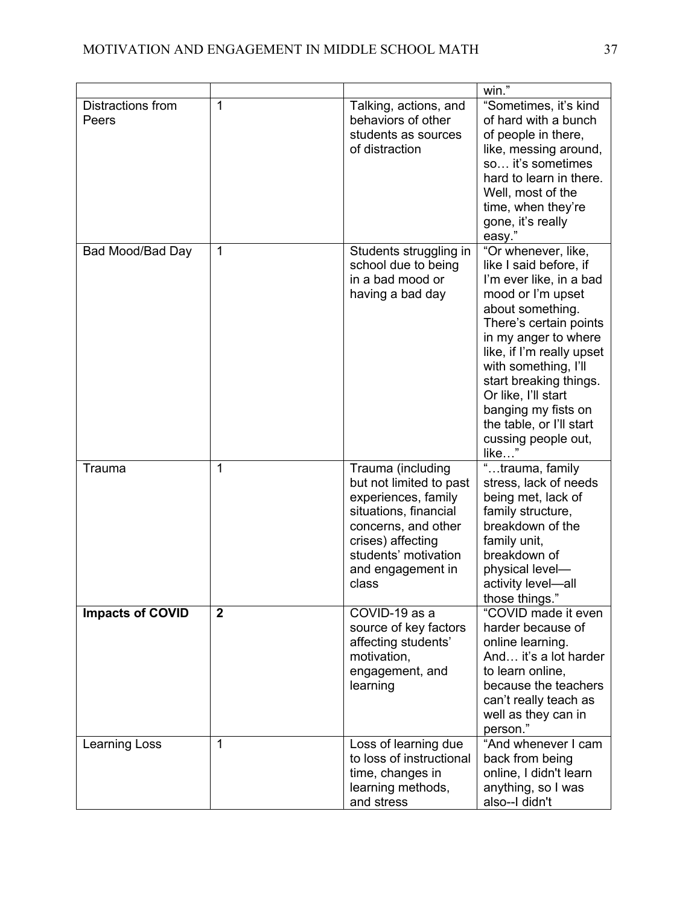|                            |              |                                                                                                                                                                                                | win."                                                                                                                                                                                                                                                                                                                                                        |
|----------------------------|--------------|------------------------------------------------------------------------------------------------------------------------------------------------------------------------------------------------|--------------------------------------------------------------------------------------------------------------------------------------------------------------------------------------------------------------------------------------------------------------------------------------------------------------------------------------------------------------|
| Distractions from<br>Peers | $\mathbf{1}$ | Talking, actions, and<br>behaviors of other<br>students as sources<br>of distraction                                                                                                           | "Sometimes, it's kind<br>of hard with a bunch<br>of people in there,<br>like, messing around,<br>so it's sometimes<br>hard to learn in there.<br>Well, most of the<br>time, when they're<br>gone, it's really<br>easy."                                                                                                                                      |
| Bad Mood/Bad Day           | 1            | Students struggling in<br>school due to being<br>in a bad mood or<br>having a bad day                                                                                                          | "Or whenever, like,<br>like I said before, if<br>I'm ever like, in a bad<br>mood or I'm upset<br>about something.<br>There's certain points<br>in my anger to where<br>like, if I'm really upset<br>with something, I'll<br>start breaking things.<br>Or like, I'll start<br>banging my fists on<br>the table, or I'll start<br>cussing people out,<br>like" |
| Trauma                     | 1            | Trauma (including<br>but not limited to past<br>experiences, family<br>situations, financial<br>concerns, and other<br>crises) affecting<br>students' motivation<br>and engagement in<br>class | "trauma, family<br>stress, lack of needs<br>being met, lack of<br>family structure,<br>breakdown of the<br>family unit,<br>breakdown of<br>physical level-<br>activity level-all<br>those things."                                                                                                                                                           |
| Impacts of COVID           | $\mathbf{2}$ | COVID-19 as a<br>source of key factors<br>affecting students'<br>motivation,<br>engagement, and<br>learning                                                                                    | "COVID made it even<br>harder because of<br>online learning.<br>And it's a lot harder<br>to learn online,<br>because the teachers<br>can't really teach as<br>well as they can in<br>person."                                                                                                                                                                |
| Learning Loss              | $\mathbf 1$  | Loss of learning due<br>to loss of instructional<br>time, changes in<br>learning methods,<br>and stress                                                                                        | "And whenever I cam<br>back from being<br>online, I didn't learn<br>anything, so I was<br>also--I didn't                                                                                                                                                                                                                                                     |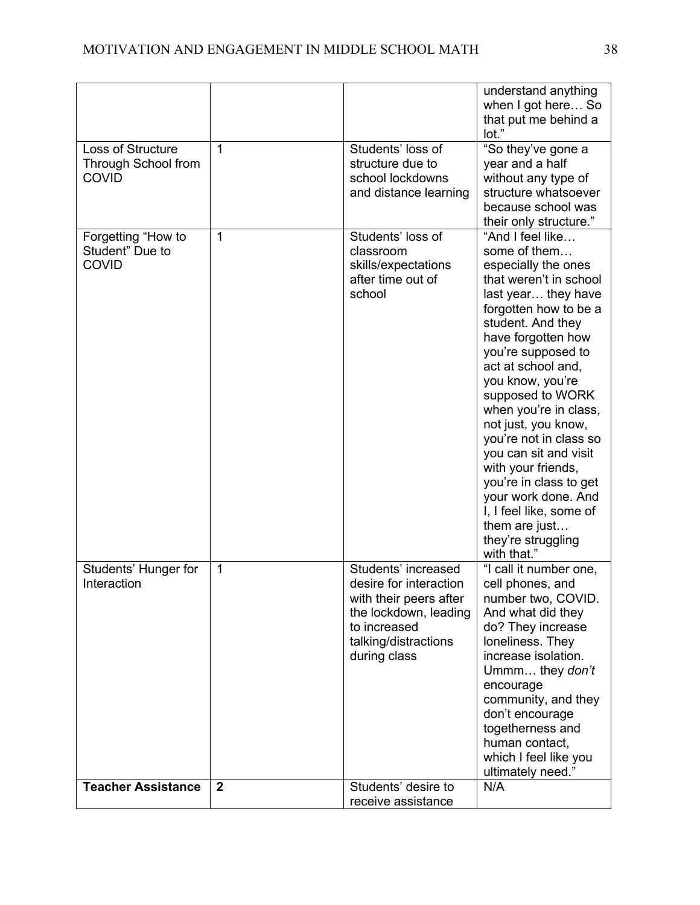|                                                                 |                |                                                                                                                                                          | understand anything<br>when I got here So<br>that put me behind a<br>lot."                                                                                                                                                                                                                                                                                                                                                                                                                                                  |
|-----------------------------------------------------------------|----------------|----------------------------------------------------------------------------------------------------------------------------------------------------------|-----------------------------------------------------------------------------------------------------------------------------------------------------------------------------------------------------------------------------------------------------------------------------------------------------------------------------------------------------------------------------------------------------------------------------------------------------------------------------------------------------------------------------|
| <b>Loss of Structure</b><br>Through School from<br><b>COVID</b> | $\mathbf{1}$   | Students' loss of<br>structure due to<br>school lockdowns<br>and distance learning                                                                       | "So they've gone a<br>year and a half<br>without any type of<br>structure whatsoever<br>because school was<br>their only structure."                                                                                                                                                                                                                                                                                                                                                                                        |
| Forgetting "How to<br>Student" Due to<br><b>COVID</b>           | $\mathbf{1}$   | Students' loss of<br>classroom<br>skills/expectations<br>after time out of<br>school                                                                     | "And I feel like<br>some of them<br>especially the ones<br>that weren't in school<br>last year they have<br>forgotten how to be a<br>student. And they<br>have forgotten how<br>you're supposed to<br>act at school and,<br>you know, you're<br>supposed to WORK<br>when you're in class,<br>not just, you know,<br>you're not in class so<br>you can sit and visit<br>with your friends,<br>you're in class to get<br>your work done. And<br>I, I feel like, some of<br>them are just<br>they're struggling<br>with that." |
| Students' Hunger for<br>Interaction                             | 1              | Students' increased<br>desire for interaction<br>with their peers after<br>the lockdown, leading<br>to increased<br>talking/distractions<br>during class | "I call it number one,<br>cell phones, and<br>number two, COVID.<br>And what did they<br>do? They increase<br>loneliness. They<br>increase isolation.<br>Ummm they don't<br>encourage<br>community, and they<br>don't encourage<br>togetherness and<br>human contact,<br>which I feel like you<br>ultimately need."                                                                                                                                                                                                         |
| <b>Teacher Assistance</b>                                       | $\overline{2}$ | Students' desire to<br>receive assistance                                                                                                                | N/A                                                                                                                                                                                                                                                                                                                                                                                                                                                                                                                         |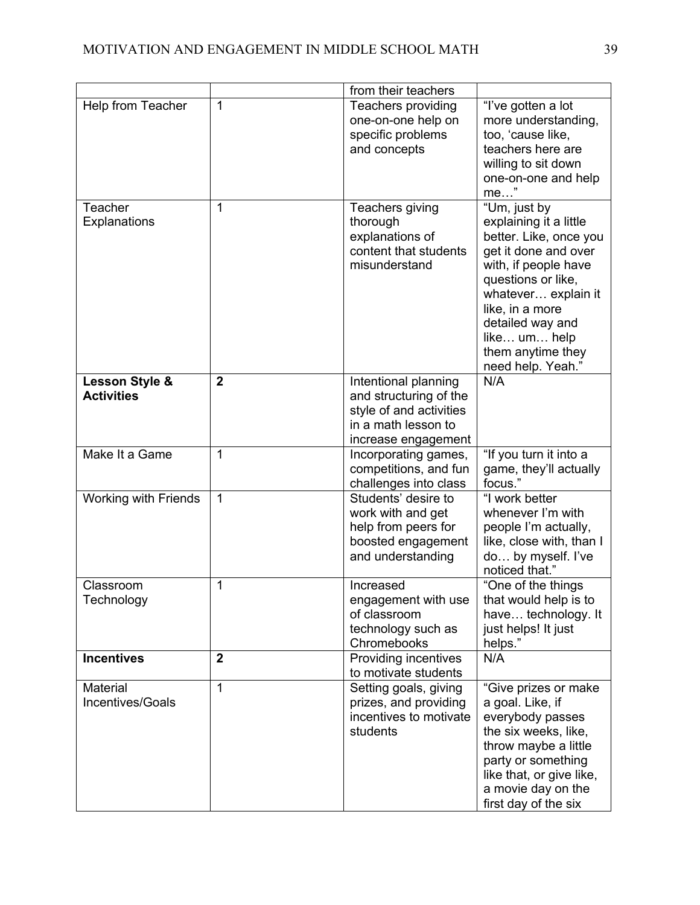|                                     |                | from their teachers                                                                                                     |                                                                                                                                                                                                                                                                |
|-------------------------------------|----------------|-------------------------------------------------------------------------------------------------------------------------|----------------------------------------------------------------------------------------------------------------------------------------------------------------------------------------------------------------------------------------------------------------|
| Help from Teacher                   | $\mathbf{1}$   | Teachers providing<br>one-on-one help on<br>specific problems<br>and concepts                                           | "I've gotten a lot<br>more understanding,<br>too, 'cause like,<br>teachers here are<br>willing to sit down<br>one-on-one and help<br>$me$ "                                                                                                                    |
| Teacher<br>Explanations             | 1              | Teachers giving<br>thorough<br>explanations of<br>content that students<br>misunderstand                                | "Um, just by<br>explaining it a little<br>better. Like, once you<br>get it done and over<br>with, if people have<br>questions or like,<br>whatever explain it<br>like, in a more<br>detailed way and<br>like um help<br>them anytime they<br>need help. Yeah." |
| Lesson Style &<br><b>Activities</b> | $\overline{2}$ | Intentional planning<br>and structuring of the<br>style of and activities<br>in a math lesson to<br>increase engagement | N/A                                                                                                                                                                                                                                                            |
| Make It a Game                      | 1              | Incorporating games,<br>competitions, and fun<br>challenges into class                                                  | "If you turn it into a<br>game, they'll actually<br>focus."                                                                                                                                                                                                    |
| <b>Working with Friends</b>         | $\mathbf{1}$   | Students' desire to<br>work with and get<br>help from peers for<br>boosted engagement<br>and understanding              | "I work better<br>whenever I'm with<br>people I'm actually,<br>like, close with, than I<br>do by myself. I've<br>noticed that."                                                                                                                                |
| Classroom<br>Technology             | 1              | Increased<br>engagement with use<br>of classroom<br>technology such as<br>Chromebooks                                   | "One of the things<br>that would help is to<br>have technology. It<br>just helps! It just<br>helps."                                                                                                                                                           |
| <b>Incentives</b>                   | $\overline{2}$ | Providing incentives<br>to motivate students                                                                            | N/A                                                                                                                                                                                                                                                            |
| Material<br>Incentives/Goals        | $\mathbf{1}$   | Setting goals, giving<br>prizes, and providing<br>incentives to motivate<br>students                                    | "Give prizes or make<br>a goal. Like, if<br>everybody passes<br>the six weeks, like,<br>throw maybe a little<br>party or something<br>like that, or give like,<br>a movie day on the<br>first day of the six                                                   |